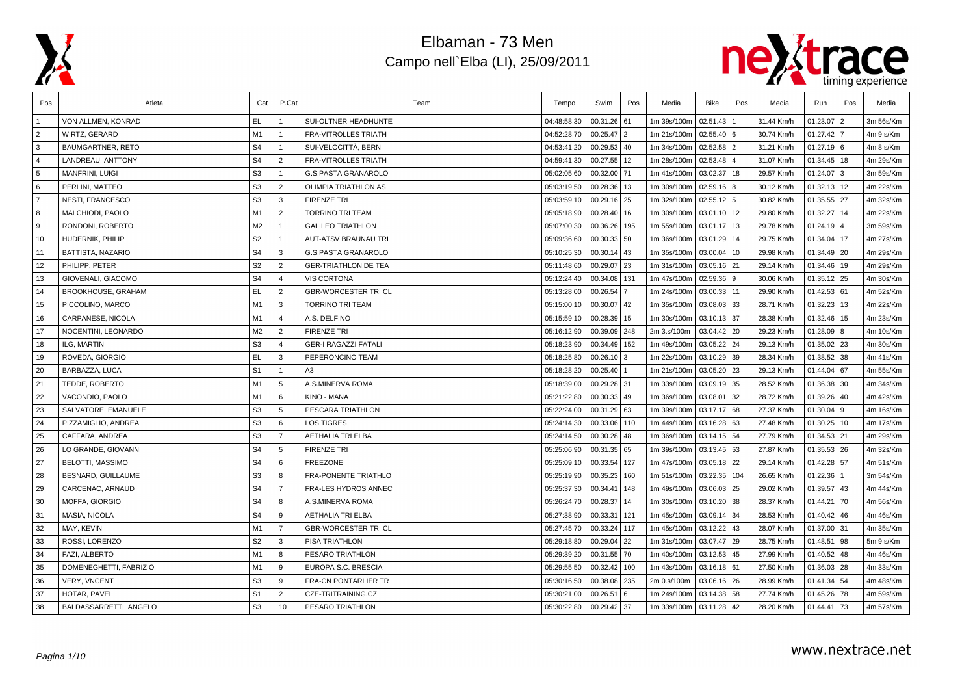



| Pos            | Atleta                   | Cat            | P.Cat          | Team                        | Tempo       | Swim          | Pos  | Media       | Bike         | Pos | Media      | Run             | Pos | Media     |
|----------------|--------------------------|----------------|----------------|-----------------------------|-------------|---------------|------|-------------|--------------|-----|------------|-----------------|-----|-----------|
|                | VON ALLMEN, KONRAD       | EL.            |                | SUI-OLTNER HEADHUNTE        | 04:48:58.30 | 00.31.26      | 61   | 1m 39s/100m | 02.51.43     |     | 31.44 Km/h | 01.23.07        |     | 3m 56s/Km |
| $\overline{2}$ | <b>WIRTZ, GERARD</b>     | M1             | $\mathbf{1}$   | <b>FRA-VITROLLES TRIATH</b> | 04:52:28.70 | $00.25.47$ 2  |      | 1m 21s/100m | 02.55.40 6   |     | 30.74 Km/h | 01.27.42        |     | 4m 9 s/Km |
| 3              | <b>BAUMGARTNER, RETO</b> | S <sub>4</sub> | $\mathbf{1}$   | SUI-VELOCITTÀ, BERN         | 04:53:41.20 | 00.29.53 40   |      | 1m 34s/100m | 02.52.58 2   |     | 31.21 Km/h | $01.27.19$ 6    |     | 4m 8 s/Km |
| $\overline{4}$ | LANDREAU, ANTTONY        | S <sub>4</sub> | 2              | <b>FRA-VITROLLES TRIATH</b> | 04:59:41.30 | 00.27.55 12   |      | 1m 28s/100m | 02.53.48     | l 4 | 31.07 Km/h | $01.34.45$ 18   |     | 4m 29s/Km |
| 5              | <b>MANFRINI, LUIGI</b>   | S <sub>3</sub> | $\mathbf{1}$   | <b>G.S.PASTA GRANAROLO</b>  | 05:02:05.60 | 00.32.00 71   |      | 1m 41s/100m | 03.02.37     | 18  | 29.57 Km/h | 01.24.07        | 3   | 3m 59s/Km |
| 6              | PERLINI, MATTEO          | S <sub>3</sub> | $\overline{2}$ | <b>OLIMPIA TRIATHLON AS</b> | 05:03:19.50 | 00.28.36      | 13   | 1m 30s/100m | 02.59.16     | l 8 | 30.12 Km/h | $01.32.13$ 12   |     | 4m 22s/Km |
| $\overline{7}$ | NESTI, FRANCESCO         | S <sub>3</sub> | 3              | <b>FIRENZE TRI</b>          | 05:03:59.10 | 00.29.16 25   |      | 1m 32s/100m | $02.55.12$ 5 |     | 30.82 Km/h | $01.35.55$ 27   |     | 4m 32s/Km |
| 8              | MALCHIODI, PAOLO         | M1             | $\overline{2}$ | TORRINO TRI TEAM            | 05:05:18.90 | 00.28.40 16   |      | 1m 30s/100m | 03.01.10     | 12  | 29.80 Km/h | 01.32.27        | 14  | 4m 22s/Km |
| <b>9</b>       | RONDONI, ROBERTO         | M <sub>2</sub> | $\mathbf{1}$   | <b>GALILEO TRIATHLON</b>    | 05:07:00.30 | 00.36.26      | 195  | 1m 55s/100m | 03.01.17     | 13  | 29.78 Km/h | 01.24.19        | 4   | 3m 59s/Km |
| 10             | HUDERNIK, PHILIP         | S <sub>2</sub> | $\mathbf{1}$   | <b>AUT-ATSV BRAUNAU TRI</b> | 05:09:36.60 | 00.30.33      | 50   | 1m 36s/100m | 03.01.29     | 14  | 29.75 Km/h | 01.34.04        | 17  | 4m 27s/Km |
| 11             | BATTISTA, NAZARIO        | S <sub>4</sub> | 3              | <b>G.S.PASTA GRANAROLO</b>  | 05:10:25.30 | $00.30.14$ 43 |      | 1m 35s/100m | 03.00.04     | 10  | 29.98 Km/h | $01.34.49$ 20   |     | 4m 29s/Km |
| 12             | PHILIPP, PETER           | S <sub>2</sub> | 2              | <b>GER-TRIATHLON.DE TEA</b> | 05:11:48.60 | 00.29.07 23   |      | 1m 31s/100m | 03.05.16 21  |     | 29.14 Km/h | $01.34.46$   19 |     | 4m 29s/Km |
| 13             | GIOVENALI, GIACOMO       | S <sub>4</sub> | $\overline{4}$ | <b>VIS CORTONA</b>          | 05:12:24.40 | 00.34.08 131  |      | 1m 47s/100m | 02.59.36 9   |     | 30.06 Km/h | $01.35.12$ 25   |     | 4m 30s/Km |
| 14             | BROOKHOUSE, GRAHAM       | EL             | $\overline{2}$ | <b>GBR-WORCESTER TRICL</b>  | 05:13:28.00 | 00.26.54      |      | 1m 24s/100m | 03.00.33     | 11  | 29.90 Km/h | $01.42.53$ 61   |     | 4m 52s/Km |
| 15             | PICCOLINO, MARCO         | M1             | 3              | <b>TORRINO TRI TEAM</b>     | 05:15:00.10 | 00.30.07 42   |      | 1m 35s/100m | 03.08.03     | 33  | 28.71 Km/h | 01.32.23        | 13  | 4m 22s/Km |
| 16             | CARPANESE, NICOLA        | M1             | $\overline{4}$ | A.S. DELFINO                | 05:15:59.10 | 00.28.39 15   |      | 1m 30s/100m | 03.10.13     | 37  | 28.38 Km/h | $01.32.46$ 15   |     | 4m 23s/Km |
| 17             | NOCENTINI, LEONARDO      | M <sub>2</sub> | $\overline{2}$ | <b>FIRENZE TRI</b>          | 05:16:12.90 | 00.39.09 248  |      | 2m 3.s/100m | 03.04.42 20  |     | 29.23 Km/h | $01.28.09$ 8    |     | 4m 10s/Km |
| 18             | ILG, MARTIN              | S <sub>3</sub> | $\overline{4}$ | <b>GER-I RAGAZZI FATALI</b> | 05:18:23.90 | 00.34.49 152  |      | 1m 49s/100m | 03.05.22     | 24  | 29.13 Km/h | $01.35.02$ 23   |     | 4m 30s/Km |
| 19             | ROVEDA, GIORGIO          | <b>EL</b>      | 3              | PEPERONCINO TEAM            | 05:18:25.80 | $00.26.10$ 3  |      | 1m 22s/100m | 03.10.29     | 39  | 28.34 Km/h | $01.38.52$ 38   |     | 4m 41s/Km |
| 20             | BARBAZZA, LUCA           | S <sub>1</sub> | $\mathbf{1}$   | A <sub>3</sub>              | 05:18:28.20 | 00.25.40      |      | 1m 21s/100m | 03.05.20 23  |     | 29.13 Km/h | $01.44.04$ 67   |     | 4m 55s/Km |
| 21             | TEDDE, ROBERTO           | M1             | $\overline{5}$ | A.S.MINERVA ROMA            | 05:18:39.00 | 00.29.28 31   |      | 1m 33s/100m | 03.09.19 35  |     | 28.52 Km/h | $01.36.38$ 30   |     | 4m 34s/Km |
| 22             | VACONDIO, PAOLO          | M1             | 6              | KINO - MANA                 | 05:21:22.80 | 00.30.33 49   |      | 1m 36s/100m | 03.08.01     | 32  | 28.72 Km/h | 01.39.26        | 40  | 4m 42s/Km |
| 23             | SALVATORE, EMANUELE      | S <sub>3</sub> | $5^{\circ}$    | PESCARA TRIATHLON           | 05:22:24.00 | 00.31.29 63   |      | 1m 39s/100m | 03.17.17     | 68  | 27.37 Km/h | 01.30.04        | ∣9. | 4m 16s/Km |
| 24             | PIZZAMIGLIO, ANDREA      | S <sub>3</sub> | 6              | <b>LOS TIGRES</b>           | 05:24:14.30 | 00.33.06      | 110  | 1m 44s/100m | 03.16.28     | 63  | 27.48 Km/h | 01.30.25        | 10  | 4m 17s/Km |
| 25             | CAFFARA, ANDREA          | S <sub>3</sub> | $\overline{7}$ | <b>AETHALIA TRI ELBA</b>    | 05:24:14.50 | $00.30.28$ 48 |      | 1m 36s/100m | 03.14.15 54  |     | 27.79 Km/h | $01.34.53$ 21   |     | 4m 29s/Km |
| 26             | LO GRANDE, GIOVANNI      | S <sub>4</sub> | 5              | <b>FIRENZE TRI</b>          | 05:25:06.90 | 00.31.35 65   |      | 1m 39s/100m | 03.13.45 53  |     | 27.87 Km/h | $01.35.53$ 26   |     | 4m 32s/Km |
| 27             | <b>BELOTTI, MASSIMO</b>  | S <sub>4</sub> | 6              | <b>FREEZONE</b>             | 05:25:09.10 | 00.33.54      | 127  | 1m 47s/100m | 03.05.18     | 22  | 29.14 Km/h | 01.42.28        | 57  | 4m 51s/Km |
| 28             | BESNARD, GUILLAUME       | S <sub>3</sub> | 8              | <b>FRA-PONENTE TRIATHLO</b> | 05:25:19.90 | 00.35.23      | 160  | 1m 51s/100m | 03.22.35     | 104 | 26.65 Km/h | 01.22.36        |     | 3m 54s/Km |
| 29             | CARCENAC, ARNAUD         | S <sub>4</sub> | $\overline{7}$ | FRA-LES HYDROS ANNEC        | 05:25:37.30 | 00.34.41      | 148  | 1m 49s/100m | 03.06.03     | 25  | 29.02 Km/h | 01.39.57        | 43  | 4m 44s/Km |
| 30             | <b>MOFFA, GIORGIO</b>    | S <sub>4</sub> | 8              | A.S.MINERVA ROMA            | 05:26:24.70 | 00.28.37      | l 14 | 1m 30s/100m | 03.10.20     | 38  | 28.37 Km/h | 01.44.21        | 70  | 4m 56s/Km |
| 31             | MASIA, NICOLA            | S <sub>4</sub> | 9              | <b>AETHALIA TRI ELBA</b>    | 05:27:38.90 | 00.33.31      | 121  | 1m 45s/100m | 03.09.14     | 34  | 28.53 Km/h | 01.40.42        | 46  | 4m 46s/Km |
| 32             | MAY, KEVIN               | M1             | $\overline{7}$ | <b>GBR-WORCESTER TRICL</b>  | 05:27:45.70 | 00.33.24      | 117  | 1m 45s/100m | 03.12.22     | 43  | 28.07 Km/h | 01.37.00 31     |     | 4m 35s/Km |
| 33             | ROSSI, LORENZO           | S <sub>2</sub> | 3              | PISA TRIATHLON              | 05:29:18.80 | 00.29.04      | 22   | 1m 31s/100m | 03.07.47     | 29  | 28.75 Km/h | 01.48.51        | 98  | 5m 9 s/Km |
| 34             | FAZI, ALBERTO            | M1             | 8              | PESARO TRIATHLON            | 05:29:39.20 | 00.31.55 70   |      | 1m 40s/100m | 03.12.53     | 45  | 27.99 Km/h | 01.40.52        | 48  | 4m 46s/Km |
| 35             | DOMENEGHETTI, FABRIZIO   | M1             | <b>9</b>       | EUROPA S.C. BRESCIA         | 05:29:55.50 | 00.32.42 100  |      | 1m 43s/100m | 03.16.18 61  |     | 27.50 Km/h | $01.36.03$ 28   |     | 4m 33s/Km |
| 36             | VERY, VNCENT             | S <sub>3</sub> | <b>9</b>       | FRA-CN PONTARLIER TR        | 05:30:16.50 | 00.38.08 235  |      | 2m 0.s/100m | 03.06.16 26  |     | 28.99 Km/h | $01.41.34$ 54   |     | 4m 48s/Km |
| 37             | HOTAR, PAVEL             | S <sub>1</sub> | $\overline{2}$ | CZE-TRITRAINING.CZ          | 05:30:21.00 | 00.26.51      | 6    | 1m 24s/100m | 03.14.38     | 58  | 27.74 Km/h | $01.45.26$ 78   |     | 4m 59s/Km |
| 38             | BALDASSARRETTI, ANGELO   | S <sub>3</sub> | 10             | PESARO TRIATHLON            | 05:30:22.80 | 00.29.42 37   |      | 1m 33s/100m | 03.11.28     | 42  | 28.20 Km/h | 01.44.41        | 73  | 4m 57s/Km |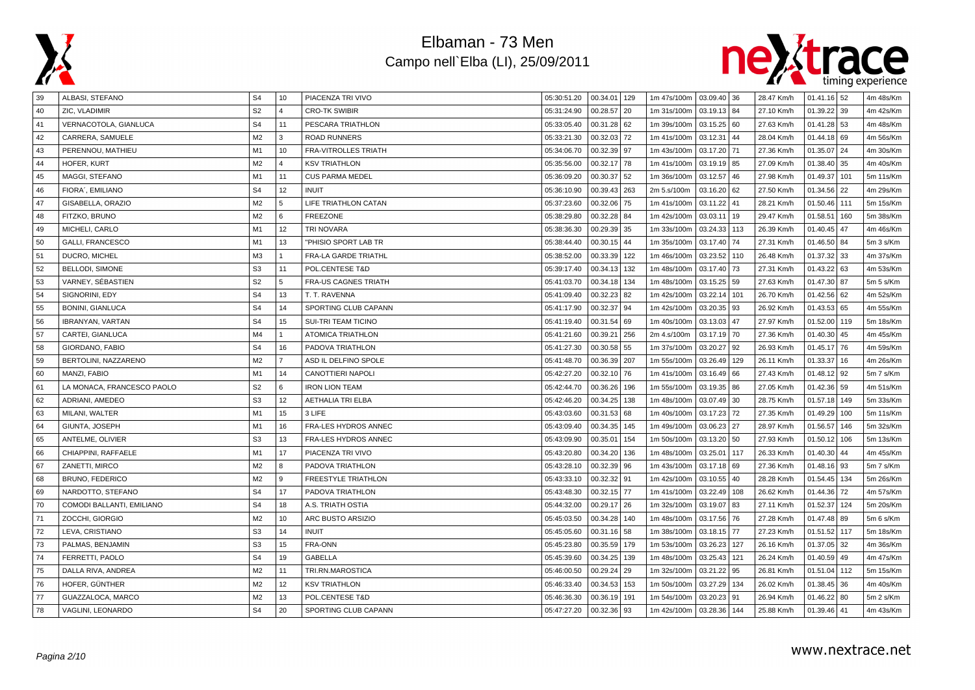



| 39 | ALBASI, STEFANO            | S <sub>4</sub> | 10                      | PIACENZA TRI VIVO           | 05:30:51.20 | 00.34.01 129  |     | 1m 47s/100m | 03.09.40 36     | 28.47 Km/h | $01.41.16$ 52     | 4m 48s/Km |
|----|----------------------------|----------------|-------------------------|-----------------------------|-------------|---------------|-----|-------------|-----------------|------------|-------------------|-----------|
| 40 | ZIC, VLADIMIR              | S <sub>2</sub> | $\overline{4}$          | <b>CRO-TK SWIBIR</b>        | 05:31:24.90 | 00.28.57 20   |     | 1m 31s/100m | 03.19.13 84     | 27.10 Km/h | 01.39.22<br>39    | 4m 42s/Km |
| 41 | VERNACOTOLA, GIANLUCA      | S <sub>4</sub> | 11                      | PESCARA TRIATHLON           | 05:33:05.40 | 00.31.28 62   |     | 1m 39s/100m | 03.15.25 60     | 27.63 Km/h | $01.41.28$ 53     | 4m 48s/Km |
| 42 | CARRERA, SAMUELE           | M <sub>2</sub> | $\overline{\mathbf{3}}$ | <b>ROAD RUNNERS</b>         | 05:33:21.30 | 00.32.03      | 72  | 1m 41s/100m | 03.12.31<br>44  | 28.04 Km/h | $01.44.18$ 69     | 4m 56s/Km |
| 43 | PERENNOU, MATHIEU          | M1             | 10                      | <b>FRA-VITROLLES TRIATH</b> | 05:34:06.70 | 00.32.39 97   |     | 1m 43s/100m | 03.17.20 71     | 27.36 Km/h | $01.35.07$ 24     | 4m 30s/Km |
| 44 | HOFER, KURT                | M <sub>2</sub> | $\overline{4}$          | <b>KSV TRIATHLON</b>        | 05:35:56.00 | 00.32.17 78   |     | 1m 41s/100m | 03.19.19 85     | 27.09 Km/h | 01.38.40<br>35    | 4m 40s/Km |
| 45 | MAGGI, STEFANO             | M1             | 11                      | <b>CUS PARMA MEDEL</b>      | 05:36:09.20 | 00.30.37      | 52  | 1m 36s/100m | 03.12.57<br>46  | 27.98 Km/h | 01.49.37<br>101   | 5m 11s/Km |
| 46 | FIORA', EMILIANO           | S <sub>4</sub> | 12                      | <b>INUIT</b>                | 05:36:10.90 | 00.39.43      | 263 | 2m 5.s/100m | 03.16.20<br>62  | 27.50 Km/h | 01.34.56<br>22    | 4m 29s/Km |
| 47 | GISABELLA, ORAZIO          | M <sub>2</sub> | 5                       | LIFE TRIATHLON CATAN        | 05:37:23.60 | 00.32.06      | 75  | 1m 41s/100m | 03.11.22<br>41  | 28.21 Km/h | 01.50.46 111      | 5m 15s/Km |
| 48 | FITZKO, BRUNO              | M <sub>2</sub> | 6                       | <b>FREEZONE</b>             | 05:38:29.80 | 00.32.28 84   |     | 1m 42s/100m | 03.03.11<br>19  | 29.47 Km/h | 160<br>01.58.51   | 5m 38s/Km |
| 49 | MICHELI, CARLO             | M <sub>1</sub> | 12                      | <b>TRI NOVARA</b>           | 05:38:36.30 | 00.29.39      | 35  | 1m 33s/100m | 03.24.33<br>113 | 26.39 Km/h | 47<br>01.40.45    | 4m 46s/Km |
| 50 | GALLI, FRANCESCO           | M1             | 13                      | "PHISIO SPORT LAB TR        | 05:38:44.40 | 00.30.15      | 44  | 1m 35s/100m | 03.17.40<br>74  | 27.31 Km/h | 84<br>01.46.50    | 5m 3 s/Km |
| 51 | DUCRO, MICHEL              | M <sub>3</sub> | $\overline{1}$          | FRA-LA GARDE TRIATHL        | 05:38:52.00 | 00.33.39      | 122 | 1m 46s/100m | 03.23.52<br>110 | 26.48 Km/h | 01.37.32<br>33    | 4m 37s/Km |
| 52 | <b>BELLODI, SIMONE</b>     | S <sub>3</sub> | 11                      | POL.CENTESE T&D             | 05:39:17.40 | 00.34.13      | 132 | 1m 48s/100m | 03.17.40 73     | 27.31 Km/h | $01.43.22$ 63     | 4m 53s/Km |
| 53 | VARNEY, SÉBASTIEN          | S <sub>2</sub> | 5                       | <b>FRA-US CAGNES TRIATH</b> | 05:41:03.70 | 00.34.18      | 134 | 1m 48s/100m | 03.15.25 59     | 27.63 Km/h | 01.47.30<br>87    | 5m 5 s/Km |
| 54 | SIGNORINI, EDY             | S <sub>4</sub> | 13                      | T. T. RAVENNA               | 05:41:09.40 | $00.32.23$ 82 |     | 1m 42s/100m | 03.22.14<br>101 | 26.70 Km/h | $01.42.56$ 62     | 4m 52s/Km |
| 55 | BONINI, GIANLUCA           | S <sub>4</sub> | 14                      | SPORTING CLUB CAPANN        | 05:41:17.90 | 00.32.37 94   |     | 1m 42s/100m | 03.20.35<br>93  | 26.92 Km/h | 01.43.53<br>65    | 4m 55s/Km |
| 56 | <b>IBRANYAN, VARTAN</b>    | S <sub>4</sub> | 15                      | <b>SUI-TRI TEAM TICINO</b>  | 05:41:19.40 | 00.31.54 69   |     | 1m 40s/100m | 03.13.03 47     | 27.97 Km/h | 01.52.00 119      | 5m 18s/Km |
| 57 | CARTEI, GIANLUCA           | M4             | $\mathbf{1}$            | <b>ATOMICA TRIATHLON</b>    | 05:41:21.60 | 00.39.21      | 256 | 2m 4.s/100m | 03.17.19 70     | 27.36 Km/h | 45<br>01.40.30    | 4m 45s/Km |
| 58 | GIORDANO, FABIO            | S <sub>4</sub> | 16                      | PADOVA TRIATHLON            | 05:41:27.30 | 00.30.58      | 55  | 1m 37s/100m | 03.20.27<br>92  | 26.93 Km/h | 01.45.17<br>76    | 4m 59s/Km |
| 59 | BERTOLINI, NAZZARENO       | M <sub>2</sub> | $\overline{7}$          | ASD IL DELFINO SPOLE        | 05:41:48.70 | 00.36.39      | 207 | 1m 55s/100m | 03.26.49<br>129 | 26.11 Km/h | 16<br>01.33.37    | 4m 26s/Km |
| 60 | MANZI, FABIO               | M1             | 14                      | CANOTTIERI NAPOLI           | 05:42:27.20 | 00.32.10      | 76  | 1m 41s/100m | 03.16.49 66     | 27.43 Km/h | 92<br>01.48.12    | 5m 7 s/Km |
| 61 | LA MONACA, FRANCESCO PAOLO | S <sub>2</sub> | 6                       | <b>IRON LION TEAM</b>       | 05:42:44.70 | 00.36.26      | 196 | 1m 55s/100m | 03.19.35 86     | 27.05 Km/h | 01.42.36<br>59    | 4m 51s/Km |
| 62 | ADRIANI, AMEDEO            | S <sub>3</sub> | 12                      | <b>AETHALIA TRI ELBA</b>    | 05:42:46.20 | 00.34.25      | 138 | 1m 48s/100m | 03.07.49 30     | 28.75 Km/h | 01.57.18<br>  149 | 5m 33s/Km |
| 63 | MILANI, WALTER             | M <sub>1</sub> | 15                      | 3 LIFE                      | 05:43:03.60 | 00.31.53      | 68  | 1m 40s/100m | 03.17.23<br>72  | 27.35 Km/h | 01.49.29<br>100   | 5m 11s/Km |
| 64 | GIUNTA, JOSEPH             | M <sub>1</sub> | 16                      | FRA-LES HYDROS ANNEC        | 05:43:09.40 | 00.34.35      | 145 | 1m 49s/100m | 03.06.23 27     | 28.97 Km/h | 01.56.57<br>146   | 5m 32s/Km |
| 65 | ANTELME, OLIVIER           | S <sub>3</sub> | 13                      | FRA-LES HYDROS ANNEC        | 05:43:09.90 | 00.35.01      | 154 | 1m 50s/100m | 03.13.20 50     | 27.93 Km/h | 106<br>01.50.12   | 5m 13s/Km |
| 66 | CHIAPPINI, RAFFAELE        | M1             | 17                      | PIACENZA TRI VIVO           | 05:43:20.80 | 00.34.20      | 136 | 1m 48s/100m | 03.25.01<br>117 | 26.33 Km/h | 01.40.30<br>44    | 4m 45s/Km |
| 67 | ZANETTI, MIRCO             | M <sub>2</sub> | 8                       | PADOVA TRIATHLON            | 05:43:28.10 | 00.32.39      | 96  | 1m 43s/100m | 03.17.18<br>69  | 27.36 Km/h | 01.48.16<br>  93  | 5m 7 s/Km |
| 68 | <b>BRUNO, FEDERICO</b>     | M <sub>2</sub> | 9                       | <b>FREESTYLE TRIATHLON</b>  | 05:43:33.10 | 00.32.32 91   |     | 1m 42s/100m | 03.10.55<br>40  | 28.28 Km/h | 01.54.45<br>134   | 5m 26s/Km |
| 69 | NARDOTTO, STEFANO          | S <sub>4</sub> | 17                      | PADOVA TRIATHLON            | 05:43:48.30 | 00.32.15 77   |     | 1m 41s/100m | 03.22.49<br>108 | 26.62 Km/h | $01.44.36$ 72     | 4m 57s/Km |
| 70 | COMODI BALLANTI, EMILIANO  | S <sub>4</sub> | 18                      | A.S. TRIATH OSTIA           | 05:44:32.00 | 00.29.17 26   |     | 1m 32s/100m | 03.19.07<br>83  | 27.11 Km/h | 01.52.37<br>124   | 5m 20s/Km |
| 71 | ZOCCHI, GIORGIO            | M <sub>2</sub> | 10                      | ARC BUSTO ARSIZIO           | 05:45:03.50 | 00.34.28      | 140 | 1m 48s/100m | 03.17.56 76     | 27.28 Km/h | $01.47.48$ 89     | 5m 6 s/Km |
| 72 | LEVA, CRISTIANO            | S <sub>3</sub> | 14                      | <b>INUIT</b>                | 05:45:05.60 | 00.31.16      | 58  | 1m 38s/100m | 03.18.15 77     | 27.23 Km/h | 01.51.52<br>  117 | 5m 18s/Km |
| 73 | PALMAS, BENJAMIN           | S <sub>3</sub> | 15                      | FRA-ONN                     | 05:45:23.80 | 00.35.59      | 179 | 1m 53s/100m | 127<br>03.26.23 | 26.16 Km/h | $01.37.05$ 32     | 4m 36s/Km |
| 74 | FERRETTI, PAOLO            | S <sub>4</sub> | 19                      | <b>GABELLA</b>              | 05:45:39.60 | 00.34.25      | 139 | 1m 48s/100m | 03.25.43<br>121 | 26.24 Km/h | 01.40.59<br>49    | 4m 47s/Km |
| 75 | DALLA RIVA, ANDREA         | M <sub>2</sub> | 11                      | TRI.RN.MAROSTICA            | 05:46:00.50 | 00.29.24      | 29  | 1m 32s/100m | 03.21.22 95     | 26.81 Km/h | 01.51.04<br>112   | 5m 15s/Km |
| 76 | HOFER, GÜNTHER             | M <sub>2</sub> | 12                      | <b>KSV TRIATHLON</b>        | 05:46:33.40 | 00.34.53      | 153 | 1m 50s/100m | 03.27.29<br>134 | 26.02 Km/h | 01.38.45<br>36    | 4m 40s/Km |
| 77 | GUAZZALOCA, MARCO          | M <sub>2</sub> | 13                      | POL.CENTESE T&D             | 05:46:36.30 | 00.36.19      | 191 | 1m 54s/100m | 03.20.23<br>91  | 26.94 Km/h | 80<br>01.46.22    | 5m 2 s/Km |
| 78 | VAGLINI, LEONARDO          | S <sub>4</sub> | 20                      | SPORTING CLUB CAPANN        | 05:47:27.20 | $00.32.36$ 93 |     | 1m 42s/100m | 03.28.36 144    | 25.88 Km/h | $01.39.46$ 41     | 4m 43s/Km |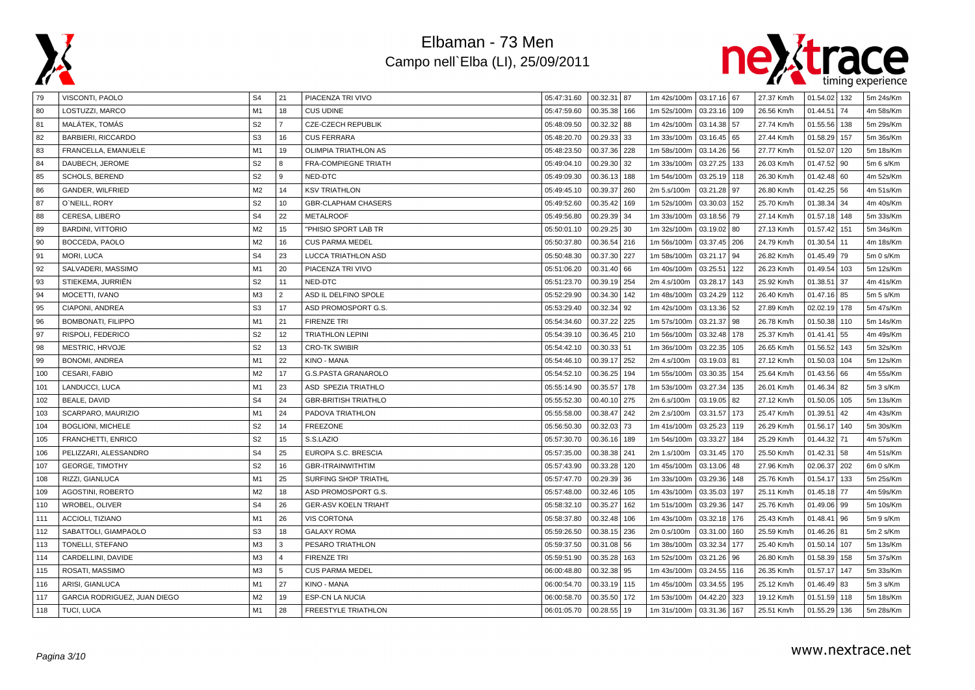



| 79  | VISCONTI, PAOLO              | S <sub>4</sub> | 21             | PIACENZA TRI VIVO           | 05:47:31.60 | 00.32.31 87     | 1m 42s/100m   03.17.16   67 |              |     | 27.37 Km/h | 01.54.02 | 132 | 5m 24s/Km |
|-----|------------------------------|----------------|----------------|-----------------------------|-------------|-----------------|-----------------------------|--------------|-----|------------|----------|-----|-----------|
| 80  | LOSTUZZI, MARCO              | M1             | 18             | <b>CUS UDINE</b>            | 05:47:59.60 | 00.35.38<br>166 | 1m 52s/100m                 | 03.23.16 109 |     | 26.56 Km/h | 01.44.51 | 74  | 4m 58s/Km |
| 81  | MALÁTEK, TOMÁS               | S <sub>2</sub> | $\overline{7}$ | <b>CZE-CZECH REPUBLIK</b>   | 05:48:09.50 | 00.32.32<br>88  | 1m 42s/100m                 | 03.14.38 57  |     | 27.74 Km/h | 01.55.56 | 138 | 5m 29s/Km |
| 82  | <b>BARBIERI, RICCARDO</b>    | S <sub>3</sub> | 16             | <b>CUS FERRARA</b>          | 05:48:20.70 | 00.29.33<br>33  | 1m 33s/100m                 | 03.16.45 65  |     | 27.44 Km/h | 01.58.29 | 157 | 5m 36s/Km |
| 83  | FRANCELLA, EMANUELE          | M1             | 19             | OLIMPIA TRIATHLON AS        | 05:48:23.50 | 00.37.36<br>228 | 1m 58s/100m                 | 03.14.26 56  |     | 27.77 Km/h | 01.52.07 | 120 | 5m 18s/Km |
| 84  | DAUBECH, JEROME              | S <sub>2</sub> | 8              | <b>FRA-COMPIEGNE TRIATH</b> | 05:49:04.10 | 00.29.30<br>32  | 1m 33s/100m                 | 03.27.25 133 |     | 26.03 Km/h | 01.47.52 | 90  | 5m 6 s/Km |
| 85  | <b>SCHOLS, BEREND</b>        | S <sub>2</sub> | 9              | NED-DTC                     | 05:49:09.30 | 00.36.13<br>188 | 1m 54s/100m                 | 03.25.19 118 |     | 26.30 Km/h | 01.42.48 | 60  | 4m 52s/Km |
| 86  | GANDER, WILFRIED             | M <sub>2</sub> | 14             | <b>KSV TRIATHLON</b>        | 05:49:45.10 | 00.39.37<br>260 | 2m 5.s/100m                 | 03.21.28 97  |     | 26.80 Km/h | 01.42.25 | 56  | 4m 51s/Km |
| 87  | O'NEILL, RORY                | S <sub>2</sub> | 10             | <b>GBR-CLAPHAM CHASERS</b>  | 05:49:52.60 | 00.35.42<br>169 | 1m 52s/100m                 | 03.30.03 152 |     | 25.70 Km/h | 01.38.34 | 34  | 4m 40s/Km |
| 88  | CERESA, LIBERO               | S <sub>4</sub> | 22             | <b>METALROOF</b>            | 05:49:56.80 | 00.29.39<br>34  | 1m 33s/100m                 | 03.18.56 79  |     | 27.14 Km/h | 01.57.18 | 148 | 5m 33s/Km |
| 89  | <b>BARDINI, VITTORIO</b>     | M <sub>2</sub> | 15             | "PHISIO SPORT LAB TR        | 05:50:01.10 | 00.29.25<br>30  | 1m 32s/100m                 | 03.19.02 80  |     | 27.13 Km/h | 01.57.42 | 151 | 5m 34s/Km |
| 90  | BOCCEDA, PAOLO               | M <sub>2</sub> | 16             | <b>CUS PARMA MEDEL</b>      | 05:50:37.80 | 00.36.54<br>216 | 1m 56s/100m                 | 03.37.45 206 |     | 24.79 Km/h | 01.30.54 | 11  | 4m 18s/Km |
| 91  | <b>MORI, LUCA</b>            | S <sub>4</sub> | 23             | LUCCA TRIATHLON ASD         | 05:50:48.30 | 00.37.30<br>227 | 1m 58s/100m                 | 03.21.17 94  |     | 26.82 Km/h | 01.45.49 | 79  | 5m 0 s/Km |
| 92  | SALVADERI, MASSIMO           | M1             | 20             | PIACENZA TRI VIVO           | 05:51:06.20 | 00.31.40<br>66  | 1m 40s/100m                 | 03.25.51     | 122 | 26.23 Km/h | 01.49.54 | 103 | 5m 12s/Km |
| 93  | STIEKEMA, JURRIËN            | S <sub>2</sub> | 11             | NED-DTC                     | 05:51:23.70 | 00.39.19<br>254 | 2m 4.s/100m                 | 03.28.17 143 |     | 25.92 Km/h | 01.38.51 | 37  | 4m 41s/Km |
| 94  | MOCETTI, IVANO               | M <sub>3</sub> | $\overline{2}$ | ASD IL DELFINO SPOLE        | 05:52:29.90 | 00.34.30<br>142 | 1m 48s/100m                 | 03.24.29 112 |     | 26.40 Km/h | 01.47.16 | 85  | 5m 5 s/Km |
| 95  | CIAPONI, ANDREA              | S <sub>3</sub> | 17             | ASD PROMOSPORT G.S.         | 05:53:29.40 | 00.32.34<br>92  | 1m 42s/100m                 | 03.13.36 52  |     | 27.89 Km/h | 02.02.19 | 178 | 5m 47s/Km |
| 96  | BOMBONATI, FILIPPO           | M1             | 21             | <b>FIRENZE TRI</b>          | 05:54:34.60 | 00.37.22<br>225 | 1m 57s/100m                 | 03.21.37 98  |     | 26.78 Km/h | 01.50.38 | 110 | 5m 14s/Km |
| 97  | RISPOLI, FEDERICO            | S <sub>2</sub> | 12             | <b>TRIATHLON LEPINI</b>     | 05:54:39.10 | 00.36.45<br>210 | 1m 56s/100m                 | 03.32.48 178 |     | 25.37 Km/h | 01.41.41 | 55  | 4m 49s/Km |
| 98  | <b>MESTRIC, HRVOJE</b>       | S <sub>2</sub> | 13             | <b>CRO-TK SWIBIR</b>        | 05:54:42.10 | 00.30.33<br>51  | 1m 36s/100m                 | 03.22.35     | 105 | 26.65 Km/h | 01.56.52 | 143 | 5m 32s/Km |
| 99  | <b>BONOMI, ANDREA</b>        | M <sub>1</sub> | 22             | KINO - MANA                 | 05:54:46.10 | 00.39.17<br>252 | 2m 4.s/100m                 | 03.19.03 81  |     | 27.12 Km/h | 01.50.03 | 104 | 5m 12s/Km |
| 100 | CESARI, FABIO                | M <sub>2</sub> | 17             | <b>G.S.PASTA GRANAROLO</b>  | 05:54:52.10 | 00.36.25<br>194 | 1m 55s/100m                 | 03.30.35 154 |     | 25.64 Km/h | 01.43.56 | 66  | 4m 55s/Km |
| 101 | LANDUCCI, LUCA               | M1             | 23             | ASD SPEZIA TRIATHLO         | 05:55:14.90 | 00.35.57<br>178 | 1m 53s/100m                 | 03.27.34 135 |     | 26.01 Km/h | 01.46.34 | 82  | 5m 3 s/Km |
| 102 | BEALE, DAVID                 | S <sub>4</sub> | 24             | <b>GBR-BRITISH TRIATHLO</b> | 05:55:52.30 | 00.40.10<br>275 | 2m 6.s/100m                 | 03.19.05 82  |     | 27.12 Km/h | 01.50.05 | 105 | 5m 13s/Km |
| 103 | SCARPARO, MAURIZIO           | M <sub>1</sub> | 24             | PADOVA TRIATHLON            | 05:55:58.00 | 00.38.47<br>242 | 2m 2.s/100m                 | 03.31.57 173 |     | 25.47 Km/h | 01.39.51 | 42  | 4m 43s/Km |
| 104 | <b>BOGLIONI, MICHELE</b>     | S <sub>2</sub> | 14             | <b>FREEZONE</b>             | 05:56:50.30 | 00.32.03<br>73  | 1m 41s/100m                 | 03.25.23 119 |     | 26.29 Km/h | 01.56.17 | 140 | 5m 30s/Km |
| 105 | FRANCHETTI, ENRICO           | S <sub>2</sub> | 15             | S.S.LAZIO                   | 05:57:30.70 | 00.36.16<br>189 | 1m 54s/100m                 | 03.33.27     | 184 | 25.29 Km/h | 01.44.32 | 71  | 4m 57s/Km |
| 106 | PELIZZARI, ALESSANDRO        | S <sub>4</sub> | 25             | EUROPA S.C. BRESCIA         | 05:57:35.00 | 00.38.38<br>241 | 2m 1.s/100m                 | 03.31.45     | 170 | 25.50 Km/h | 01.42.31 | 58  | 4m 51s/Km |
| 107 | <b>GEORGE, TIMOTHY</b>       | S <sub>2</sub> | 16             | <b>GBR-ITRAINWITHTIM</b>    | 05:57:43.90 | 00.33.28<br>120 | 1m 45s/100m                 | 03.13.06     | 48  | 27.96 Km/h | 02.06.37 | 202 | 6m 0 s/Km |
| 108 | RIZZI, GIANLUCA              | M1             | 25             | SURFING SHOP TRIATHL        | 05:57:47.70 | 00.29.39<br>36  | 1m 33s/100m                 | 03.29.36     | 148 | 25.76 Km/h | 01.54.17 | 133 | 5m 25s/Km |
| 109 | AGOSTINI, ROBERTO            | M <sub>2</sub> | 18             | ASD PROMOSPORT G.S.         | 05:57:48.00 | 00.32.46<br>105 | 1m 43s/100m                 | 03.35.03 197 |     | 25.11 Km/h | 01.45.18 | 77  | 4m 59s/Km |
| 110 | WROBEL, OLIVER               | S <sub>4</sub> | 26             | <b>GER-ASV KOELN TRIAHT</b> | 05:58:32.10 | 00.35.27<br>162 | 1m 51s/100m                 | 03.29.36 147 |     | 25.76 Km/h | 01.49.06 | 99  | 5m 10s/Km |
| 111 | ACCIOLI, TIZIANO             | M <sub>1</sub> | 26             | <b>VIS CORTONA</b>          | 05:58:37.80 | 00.32.48<br>106 | 1m 43s/100m                 | 03.32.18 176 |     | 25.43 Km/h | 01.48.41 | 96  | 5m 9 s/Km |
| 112 | SABATTOLI, GIAMPAOLO         | S <sub>3</sub> | 18             | <b>GALAXY ROMA</b>          | 05:59:26.50 | 00.38.15<br>236 | 2m 0.s/100m                 | 03.31.00     | 160 | 25.59 Km/h | 01.46.26 | 81  | 5m 2 s/Km |
| 113 | TONELLI, STEFANO             | M3             | 3              | PESARO TRIATHLON            | 05:59:37.50 | 00.31.08<br>56  | 1m 38s/100m                 | 03.32.34 177 |     | 25.40 Km/h | 01.50.14 | 107 | 5m 13s/Km |
| 114 | CARDELLINI, DAVIDE           | M3             | $\Delta$       | <b>FIRENZE TRI</b>          | 05:59:51.90 | 00.35.28<br>163 | 1m 52s/100m                 | 03.21.26 96  |     | 26.80 Km/h | 01.58.39 | 158 | 5m 37s/Km |
| 115 | ROSATI, MASSIMO              | M <sub>3</sub> | 5              | <b>CUS PARMA MEDEL</b>      | 06:00:48.80 | 00.32.38<br>95  | 1m 43s/100m                 | 03.24.55 116 |     | 26.35 Km/h | 01.57.17 | 147 | 5m 33s/Km |
| 116 | ARISI, GIANLUCA              | M <sub>1</sub> | 27             | KINO - MANA                 | 06:00:54.70 | 00.33.19<br>115 | 1m 45s/100m                 | 03.34.55     | 195 | 25.12 Km/h | 01.46.49 | 83  | 5m 3 s/Km |
| 117 | GARCIA RODRIGUEZ, JUAN DIEGO | M <sub>2</sub> | 19             | <b>ESP-CN LA NUCIA</b>      | 06:00:58.70 | 00.35.50<br>172 | 1m 53s/100m                 | 04.42.20     | 323 | 19.12 Km/h | 01.51.59 | 118 | 5m 18s/Km |
| 118 | TUCI, LUCA                   | M1             | 28             | <b>FREESTYLE TRIATHLON</b>  | 06:01:05.70 | 00.28.55 19     | 1m 31s/100m                 | 03.31.36 167 |     | 25.51 Km/h | 01.55.29 | 136 | 5m 28s/Km |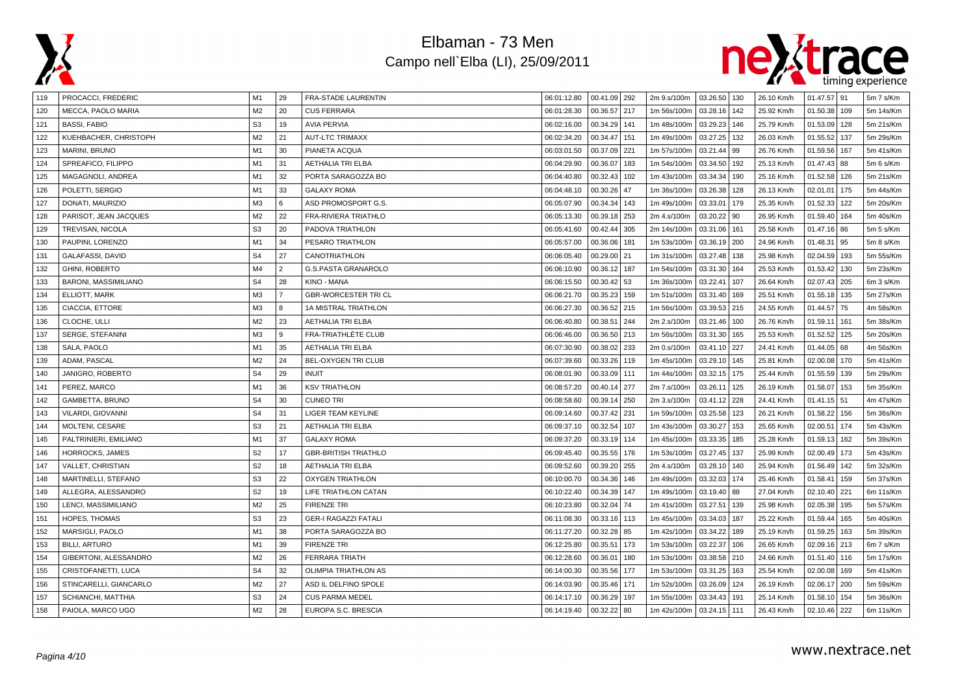



| 119 | PROCACCI, FREDERIC          | M1             | 29             | <b>FRA-STADE LAURENTIN</b>  | 06:01:12.80 | 00.41.09 292    | 2m 9.s/100m                  | 03.26.50 130 |     | 26.10 Km/h | $01.47.57$ 91 |     | 5m 7 s/Km |
|-----|-----------------------------|----------------|----------------|-----------------------------|-------------|-----------------|------------------------------|--------------|-----|------------|---------------|-----|-----------|
| 120 | MECCA, PAOLO MARIA          | M <sub>2</sub> | 20             | <b>CUS FERRARA</b>          | 06:01:28.30 | 00.36.57<br>217 | 1m 56s/100m                  | 03.28.16 142 |     | 25.92 Km/h | 01.50.38      | 109 | 5m 14s/Km |
| 121 | <b>BASSI, FABIO</b>         | S <sub>3</sub> | 19             | <b>AVIA PERVIA</b>          | 06:02:16.00 | 00.34.29<br>141 | 1m 48s/100m                  | 03.29.23     | 146 | 25.79 Km/h | 01.53.09      | 128 | 5m 21s/Km |
| 122 | KUEHBACHER, CHRISTOPH       | M <sub>2</sub> | 21             | <b>AUT-LTC TRIMAXX</b>      | 06:02:34.20 | 00.34.47<br>151 | 1m 49s/100m                  | 03.27.25     | 132 | 26.03 Km/h | 01.55.52      | 137 | 5m 29s/Km |
| 123 | MARINI, BRUNO               | M1             | 30             | PIANETA ACQUA               | 06:03:01.50 | 00.37.09<br>221 | 1m 57s/100m                  | 03.21.44     | 99  | 26.76 Km/h | 01.59.56      | 167 | 5m 41s/Km |
| 124 | SPREAFICO, FILIPPO          | M1             | 31             | <b>AETHALIA TRI ELBA</b>    | 06:04:29.90 | 00.36.07<br>183 | 1m 54s/100m                  | 03.34.50     | 192 | 25.13 Km/h | 01.47.43      | 88  | 5m 6 s/Km |
| 125 | MAGAGNOLI, ANDREA           | M1             | 32             | PORTA SARAGOZZA BO          | 06:04:40.80 | 00.32.43<br>102 | 1m 43s/100m                  | 03.34.34     | 190 | 25.16 Km/h | 01.52.58      | 126 | 5m 21s/Km |
| 126 | POLETTI, SERGIO             | M1             | 33             | <b>GALAXY ROMA</b>          | 06:04:48.10 | 00.30.26<br>47  | 1m 36s/100m                  | 03.26.38     | 128 | 26.13 Km/h | 02.01.01      | 175 | 5m 44s/Km |
| 127 | DONATI, MAURIZIO            | M3             | 6              | ASD PROMOSPORT G.S.         | 06:05:07.90 | 00.34.34<br>143 | 1m 49s/100m                  | 03.33.01     | 179 | 25.35 Km/h | 01.52.33      | 122 | 5m 20s/Km |
| 128 | PARISOT, JEAN JACQUES       | M <sub>2</sub> | 22             | FRA-RIVIERA TRIATHLO        | 06:05:13.30 | 00.39.18<br>253 | 2m 4.s/100m                  | 03.20.22     | 90  | 26.95 Km/h | 01.59.40      | 164 | 5m 40s/Km |
| 129 | TREVISAN, NICOLA            | S <sub>3</sub> | 20             | PADOVA TRIATHLON            | 06:05:41.60 | 00.42.44<br>305 | 2m 14s/100m                  | 03.31.06     | 161 | 25.58 Km/h | 01.47.16      | 86  | 5m 5 s/Km |
| 130 | PAUPINI, LORENZO            | M1             | 34             | PESARO TRIATHLON            | 06:05:57.00 | 00.36.06<br>181 | 1m 53s/100m                  | 03.36.19     | 200 | 24.96 Km/h | 01.48.31      | 95  | 5m 8 s/Km |
| 131 | <b>GALAFASSI, DAVID</b>     | S <sub>4</sub> | 27             | <b>CANOTRIATHLON</b>        | 06:06:05.40 | 00.29.00<br>21  | 1m 31s/100m                  | 03.27.48     | 138 | 25.98 Km/h | 02.04.59      | 193 | 5m 55s/Km |
| 132 | <b>GHINI, ROBERTO</b>       | M4             | $\overline{2}$ | <b>G.S.PASTA GRANAROLO</b>  | 06:06:10.90 | 187<br>00.36.12 | 1m 54s/100m                  | 03.31.30     | 164 | 25.53 Km/h | 01.53.42      | 130 | 5m 23s/Km |
| 133 | <b>BARONI, MASSIMILIANO</b> | S <sub>4</sub> | 28             | KINO - MANA                 | 06:06:15.50 | 00.30.42<br>53  | 1m 36s/100m                  | 03.22.41     | 107 | 26.64 Km/h | 02.07.43      | 205 | 6m 3 s/Km |
| 134 | ELLIOTT, MARK               | M3             | $\overline{7}$ | <b>GBR-WORCESTER TRICL</b>  | 06:06:21.70 | 00.35.23<br>159 | 1m 51s/100m                  | 03.31.40     | 169 | 25.51 Km/h | 01.55.18      | 135 | 5m 27s/Km |
| 135 | CIACCIA, ETTORE             | M3             | 8              | 1A MISTRAL TRIATHLON        | 06:06:27.30 | 00.36.52<br>215 | 1m 56s/100m                  | 03.39.53 215 |     | 24.55 Km/h | 01.44.57      | 75  | 4m 58s/Km |
| 136 | CLOCHE, ULLI                | M <sub>2</sub> | 23             | <b>AETHALIA TRI ELBA</b>    | 06:06:40.80 | 00.38.51<br>244 | 2m 2.s/100m                  | 03.21.46     | 100 | 26.76 Km/h | 01.59.11      | 161 | 5m 38s/Km |
| 137 | SERGE, STEFANINI            | M <sub>3</sub> | 9              | FRA-TRIATHLÈTE CLUB         | 06:06:46.00 | 00.36.50<br>213 | 1m 56s/100m                  | 03.31.30     | 165 | 25.53 Km/h | 01.52.52      | 125 | 5m 20s/Km |
| 138 | SALA, PAOLO                 | M1             | 35             | <b>AETHALIA TRI ELBA</b>    | 06:07:30.90 | 00.38.02<br>233 | 2m 0.s/100m                  | 03.41.10     | 227 | 24.41 Km/h | 01.44.05      | 68  | 4m 56s/Km |
| 139 | ADAM, PASCAL                | M <sub>2</sub> | 24             | <b>BEL-OXYGEN TRI CLUB</b>  | 06:07:39.60 | 00.33.26<br>119 | 1m 45s/100m                  | 03.29.10     | 145 | 25.81 Km/h | 02.00.08      | 170 | 5m 41s/Km |
| 140 | JANIGRO, ROBERTO            | S <sub>4</sub> | 29             | <b>INUIT</b>                | 06:08:01.90 | 00.33.09<br>111 | 1m 44s/100m                  | 03.32.15     | 175 | 25.44 Km/h | 01.55.59      | 139 | 5m 29s/Km |
| 141 | PEREZ, MARCO                | M1             | 36             | <b>KSV TRIATHLON</b>        | 06:08:57.20 | 00.40.14<br>277 | 2m 7.s/100m                  | 03.26.11     | 125 | 26.19 Km/h | 01.58.07      | 153 | 5m 35s/Km |
| 142 | GAMBETTA, BRUNO             | S <sub>4</sub> | 30             | <b>CUNEO TRI</b>            | 06:08:58.60 | 00.39.14<br>250 | 2m 3.s/100m                  | 03.41.12     | 228 | 24.41 Km/h | 01.41.15 51   |     | 4m 47s/Km |
| 143 | VILARDI, GIOVANNI           | S <sub>4</sub> | 31             | <b>LIGER TEAM KEYLINE</b>   | 06:09:14.60 | 00.37.42<br>231 | 1m 59s/100m                  | 03.25.58     | 123 | 26.21 Km/h | 01.58.22      | 156 | 5m 36s/Km |
| 144 | MOLTENI, CESARE             | S <sub>3</sub> | 21             | <b>AETHALIA TRI ELBA</b>    | 06:09:37.10 | 00.32.54<br>107 | 1m 43s/100m                  | 03.30.27     | 153 | 25.65 Km/h | 02.00.51      | 174 | 5m 43s/Km |
| 145 | PALTRINIERI, EMILIANO       | M1             | 37             | <b>GALAXY ROMA</b>          | 06:09:37.20 | 00.33.19<br>114 | 1m 45s/100m                  | 03.33.35     | 185 | 25.28 Km/h | 01.59.13      | 162 | 5m 39s/Km |
| 146 | HORROCKS, JAMES             | S <sub>2</sub> | 17             | <b>GBR-BRITISH TRIATHLO</b> | 06:09:45.40 | 00.35.55<br>176 | 1m 53s/100m                  | 03.27.45     | 137 | 25.99 Km/h | 02.00.49      | 173 | 5m 43s/Km |
| 147 | VALLET, CHRISTIAN           | S <sub>2</sub> | 18             | <b>AETHALIA TRI ELBA</b>    | 06:09:52.60 | 00.39.20<br>255 | 2m 4.s/100m                  | 03.28.10     | 140 | 25.94 Km/h | 01.56.49      | 142 | 5m 32s/Km |
| 148 | MARTINELLI, STEFANO         | S <sub>3</sub> | 22             | <b>OXYGEN TRIATHLON</b>     | 06:10:00.70 | 00.34.36<br>146 | 1m 49s/100m                  | 03.32.03     | 174 | 25.46 Km/h | 01.58.41      | 159 | 5m 37s/Km |
| 149 | ALLEGRA, ALESSANDRO         | S <sub>2</sub> | 19             | LIFE TRIATHLON CATAN        | 06:10:22.40 | 00.34.39<br>147 | 1m 49s/100m                  | 03.19.40 88  |     | 27.04 Km/h | 02.10.40      | 221 | 6m 11s/Km |
| 150 | LENCI, MASSIMILIANO         | M <sub>2</sub> | 25             | <b>FIRENZE TRI</b>          | 06:10:23.80 | 00.32.04<br>74  | 1m 41s/100m                  | 03.27.51     | 139 | 25.98 Km/h | 02.05.38      | 195 | 5m 57s/Km |
| 151 | HOPES, THOMAS               | S <sub>3</sub> | 23             | <b>GER-I RAGAZZI FATALI</b> | 06:11:08.30 | 00.33.16<br>113 | 1m 45s/100m                  | 03.34.03     | 187 | 25.22 Km/h | 01.59.44      | 165 | 5m 40s/Km |
| 152 | MARSIGLI, PAOLO             | M <sub>1</sub> | 38             | PORTA SARAGOZZA BO          | 06:11:27.20 | 00.32.28<br>85  | 1m 42s/100m                  | 03.34.22     | 189 | 25.19 Km/h | 01.59.25      | 163 | 5m 39s/Km |
| 153 | <b>BILLI, ARTURO</b>        | M1             | 39             | <b>FIRENZE TRI</b>          | 06:12:25.80 | 00.35.51<br>173 | 1m 53s/100m                  | 03.22.37     | 106 | 26.65 Km/h | 02.09.16      | 213 | 6m 7 s/Km |
| 154 | GIBERTONI, ALESSANDRO       | M <sub>2</sub> | 26             | <b>FERRARA TRIATH</b>       | 06:12:28.60 | 00.36.01<br>180 | 1m 53s/100m                  | 03.38.58     | 210 | 24.66 Km/h | 01.51.40      | 116 | 5m 17s/Km |
| 155 | CRISTOFANETTI, LUCA         | S <sub>4</sub> | 32             | OLIMPIA TRIATHLON AS        | 06:14:00.30 | 00.35.56<br>177 | 1m 53s/100m                  | 03.31.25     | 163 | 25.54 Km/h | 02.00.08      | 169 | 5m 41s/Km |
| 156 | STINCARELLI, GIANCARLO      | M <sub>2</sub> | 27             | ASD IL DELFINO SPOLE        | 06:14:03.90 | 00.35.46<br>171 | 1m 52s/100m                  | 03.26.09     | 124 | 26.19 Km/h | 02.06.17      | 200 | 5m 59s/Km |
| 157 | SCHIANCHI, MATTHIA          | S <sub>3</sub> | 24             | <b>CUS PARMA MEDEL</b>      | 06:14:17.10 | 00.36.29<br>197 | 1m 55s/100m                  | 03.34.43     | 191 | 25.14 Km/h | 01.58.10      | 154 | 5m 36s/Km |
| 158 | PAIOLA, MARCO UGO           | M <sub>2</sub> | 28             | EUROPA S.C. BRESCIA         | 06:14:19.40 | $00.32.22$ 80   | 1m 42s/100m   03.24.15   111 |              |     | 26.43 Km/h | 02.10.46 222  |     | 6m 11s/Km |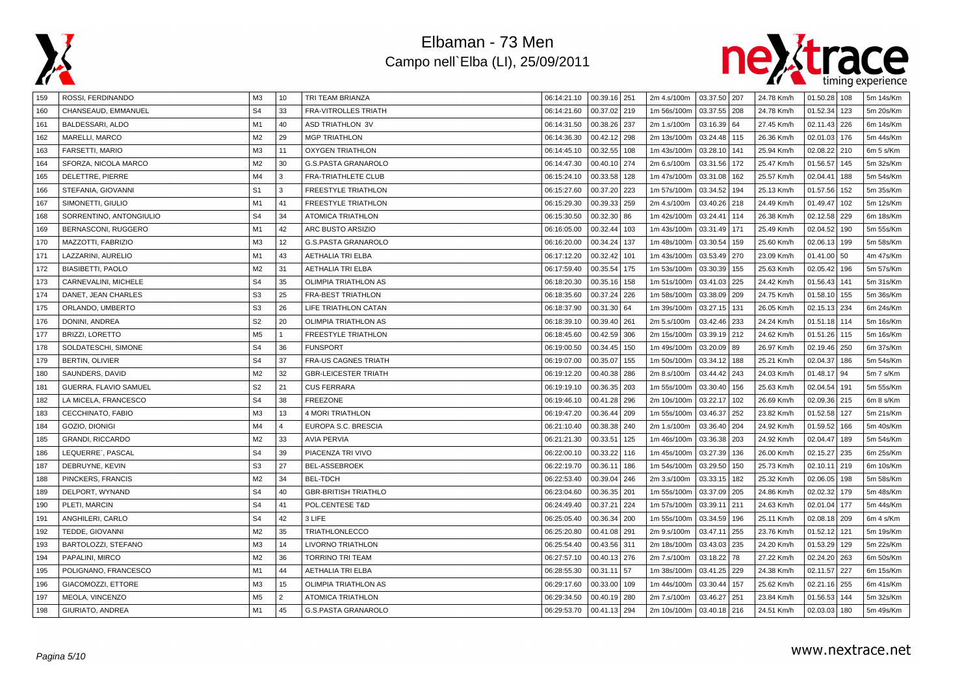



| 159 | ROSSI, FERDINANDO        | ΜЗ             | 10             | TRI TEAM BRIANZA            | 06:14:21.10 | 00.39.16 251    | 2m 4.s/100m | 03.37.50 207 |     | 24.78 Km/h | 01.50.28 | 108 | 5m 14s/Km |
|-----|--------------------------|----------------|----------------|-----------------------------|-------------|-----------------|-------------|--------------|-----|------------|----------|-----|-----------|
| 160 | CHANSEAUD, EMMANUEL      | S <sub>4</sub> | 33             | <b>FRA-VITROLLES TRIATH</b> | 06:14:21.60 | 00.37.02 219    | 1m 56s/100m | 03.37.55 208 |     | 24.78 Km/h | 01.52.34 | 123 | 5m 20s/Km |
| 161 | BALDESSARI, ALDO         | M1             | 40             | <b>ASD TRIATHLON 3V</b>     | 06:14:31.50 | 00.38.26<br>237 | 2m 1.s/100m | 03.16.39 64  |     | 27.45 Km/h | 02.11.43 | 226 | 6m 14s/Km |
| 162 | MARELLI, MARCO           | M <sub>2</sub> | 29             | <b>MGP TRIATHLON</b>        | 06:14:36.30 | 00.42.12<br>298 | 2m 13s/100m | 03.24.48 115 |     | 26.36 Km/h | 02.01.03 | 176 | 5m 44s/Km |
| 163 | <b>FARSETTI, MARIO</b>   | M3             | 11             | <b>OXYGEN TRIATHLON</b>     | 06:14:45.10 | 00.32.55<br>108 | 1m 43s/100m | 03.28.10     | 141 | 25.94 Km/h | 02.08.22 | 210 | 6m 5 s/Km |
| 164 | SFORZA, NICOLA MARCO     | M <sub>2</sub> | 30             | <b>G.S.PASTA GRANAROLO</b>  | 06:14:47.30 | 00.40.10<br>274 | 2m 6.s/100m | 03.31.56 172 |     | 25.47 Km/h | 01.56.57 | 145 | 5m 32s/Km |
| 165 | DELETTRE, PIERRE         | M4             | 3              | <b>FRA-TRIATHLETE CLUB</b>  | 06:15:24.10 | 00.33.58<br>128 | 1m 47s/100m | 03.31.08     | 162 | 25.57 Km/h | 02.04.41 | 188 | 5m 54s/Km |
| 166 | STEFANIA, GIOVANNI       | S <sub>1</sub> | 3              | <b>FREESTYLE TRIATHLON</b>  | 06:15:27.60 | 00.37.20<br>223 | 1m 57s/100m | 03.34.52     | 194 | 25.13 Km/h | 01.57.56 | 152 | 5m 35s/Km |
| 167 | SIMONETTI, GIULIO        | M1             | 41             | <b>FREESTYLE TRIATHLON</b>  | 06:15:29.30 | 00.39.33<br>259 | 2m 4.s/100m | 03.40.26 218 |     | 24.49 Km/h | 01.49.47 | 102 | 5m 12s/Km |
| 168 | SORRENTINO, ANTONGIULIO  | S <sub>4</sub> | 34             | <b>ATOMICA TRIATHLON</b>    | 06:15:30.50 | 00.32.30<br>86  | 1m 42s/100m | 03.24.41 114 |     | 26.38 Km/h | 02.12.58 | 229 | 6m 18s/Km |
| 169 | BERNASCONI, RUGGERO      | M1             | 42             | ARC BUSTO ARSIZIO           | 06:16:05.00 | 00.32.44<br>103 | 1m 43s/100m | 03.31.49     | 171 | 25.49 Km/h | 02.04.52 | 190 | 5m 55s/Km |
| 170 | MAZZOTTI, FABRIZIO       | M3             | 12             | G.S.PASTA GRANAROLO         | 06:16:20.00 | 00.34.24<br>137 | 1m 48s/100m | 03.30.54     | 159 | 25.60 Km/h | 02.06.13 | 199 | 5m 58s/Km |
| 171 | LAZZARINI, AURELIO       | M1             | 43             | <b>AETHALIA TRI ELBA</b>    | 06:17:12.20 | 00.32.42<br>101 | 1m 43s/100m | 03.53.49     | 270 | 23.09 Km/h | 01.41.00 | 50  | 4m 47s/Km |
| 172 | <b>BIASIBETTI, PAOLO</b> | M <sub>2</sub> | 31             | AETHALIA TRI ELBA           | 06:17:59.40 | 00.35.54<br>175 | 1m 53s/100m | 03.30.39     | 155 | 25.63 Km/h | 02.05.42 | 196 | 5m 57s/Km |
| 173 | CARNEVALINI, MICHELE     | S <sub>4</sub> | 35             | OLIMPIA TRIATHLON AS        | 06:18:20.30 | 00.35.16<br>158 | 1m 51s/100m | 03.41.03     | 225 | 24.42 Km/h | 01.56.43 | 141 | 5m 31s/Km |
| 174 | DANET, JEAN CHARLES      | S <sub>3</sub> | 25             | FRA-BEST TRIATHLON          | 06:18:35.60 | 00.37.24<br>226 | 1m 58s/100m | 03.38.09     | 209 | 24.75 Km/h | 01.58.10 | 155 | 5m 36s/Km |
| 175 | ORLANDO, UMBERTO         | S <sub>3</sub> | 26             | LIFE TRIATHLON CATAN        | 06:18:37.90 | 00.31.30<br>64  | 1m 39s/100m | 03.27.15     | 131 | 26.05 Km/h | 02.15.13 | 234 | 6m 24s/Km |
| 176 | DONINI, ANDREA           | S <sub>2</sub> | 20             | <b>OLIMPIA TRIATHLON AS</b> | 06:18:39.10 | 00.39.40<br>261 | 2m 5.s/100m | 03.42.46     | 233 | 24.24 Km/h | 01.51.18 | 114 | 5m 16s/Km |
| 177 | <b>BRIZZI, LORETTO</b>   | M <sub>5</sub> |                | <b>FREESTYLE TRIATHLON</b>  | 06:18:45.60 | 00.42.59<br>306 | 2m 15s/100m | 03.39.19 212 |     | 24.62 Km/h | 01.51.26 | 115 | 5m 16s/Km |
| 178 | SOLDATESCHI, SIMONE      | S <sub>4</sub> | 36             | <b>FUNSPORT</b>             | 06:19:00.50 | 00.34.45<br>150 | 1m 49s/100m | 03.20.09     | 89  | 26.97 Km/h | 02.19.46 | 250 | 6m 37s/Km |
| 179 | BERTIN, OLIVIER          | S <sub>4</sub> | 37             | FRA-US CAGNES TRIATH        | 06:19:07.00 | 00.35.07<br>155 | 1m 50s/100m | 03.34.12     | 188 | 25.21 Km/h | 02.04.37 | 186 | 5m 54s/Km |
| 180 | SAUNDERS, DAVID          | M <sub>2</sub> | 32             | <b>GBR-LEICESTER TRIATH</b> | 06:19:12.20 | 00.40.38<br>286 | 2m 8.s/100m | 03.44.42     | 243 | 24.03 Km/h | 01.48.17 | 94  | 5m 7 s/Km |
| 181 | GUERRA, FLAVIO SAMUEL    | S <sub>2</sub> | 21             | <b>CUS FERRARA</b>          | 06:19:19.10 | 00.36.35<br>203 | 1m 55s/100m | 03.30.40     | 156 | 25.63 Km/h | 02.04.54 | 191 | 5m 55s/Km |
| 182 | LA MICELA, FRANCESCO     | S <sub>4</sub> | 38             | <b>FREEZONE</b>             | 06:19:46.10 | 00.41.28<br>296 | 2m 10s/100m | 03.22.17     | 102 | 26.69 Km/h | 02.09.36 | 215 | 6m 8 s/Km |
| 183 | CECCHINATO, FABIO        | M <sub>3</sub> | 13             | 4 MORI TRIATHLON            | 06:19:47.20 | 00.36.44<br>209 | 1m 55s/100m | 03.46.37     | 252 | 23.82 Km/h | 01.52.58 | 127 | 5m 21s/Km |
| 184 | GOZIO, DIONIGI           | M4             | $\overline{4}$ | EUROPA S.C. BRESCIA         | 06:21:10.40 | 00.38.38<br>240 | 2m 1.s/100m | 03.36.40 204 |     | 24.92 Km/h | 01.59.52 | 166 | 5m 40s/Km |
| 185 | <b>GRANDI, RICCARDO</b>  | M <sub>2</sub> | 33             | <b>AVIA PERVIA</b>          | 06:21:21.30 | 00.33.51<br>125 | 1m 46s/100m | 03.36.38     | 203 | 24.92 Km/h | 02.04.47 | 189 | 5m 54s/Km |
| 186 | LEQUERRE', PASCAL        | S <sub>4</sub> | 39             | PIACENZA TRI VIVO           | 06:22:00.10 | 00.33.22<br>116 | 1m 45s/100m | 03.27.39     | 136 | 26.00 Km/h | 02.15.27 | 235 | 6m 25s/Km |
| 187 | DEBRUYNE, KEVIN          | S <sub>3</sub> | 27             | <b>BEL-ASSEBROEK</b>        | 06:22:19.70 | 00.36.11<br>186 | 1m 54s/100m | 03.29.50     | 150 | 25.73 Km/h | 02.10.11 | 219 | 6m 10s/Km |
| 188 | PINCKERS, FRANCIS        | M <sub>2</sub> | 34             | <b>BEL-TDCH</b>             | 06:22:53.40 | 00.39.04<br>246 | 2m 3.s/100m | 03.33.15     | 182 | 25.32 Km/h | 02.06.05 | 198 | 5m 58s/Km |
| 189 | DELPORT, WYNAND          | S <sub>4</sub> | 40             | <b>GBR-BRITISH TRIATHLO</b> | 06:23:04.60 | 00.36.35<br>201 | 1m 55s/100m | 03.37.09 205 |     | 24.86 Km/h | 02.02.32 | 179 | 5m 48s/Km |
| 190 | PLETI, MARCIN            | S <sub>4</sub> | 41             | POL.CENTESE T&D             | 06:24:49.40 | 00.37.21<br>224 | 1m 57s/100m | 03.39.11     | 211 | 24.63 Km/h | 02.01.04 | 177 | 5m 44s/Km |
| 191 | ANGHILERI, CARLO         | S <sub>4</sub> | 42             | 3 LIFE                      | 06:25:05.40 | 00.36.34<br>200 | 1m 55s/100m | 03.34.59     | 196 | 25.11 Km/h | 02.08.18 | 209 | 6m 4 s/Km |
| 192 | TEDDE, GIOVANNI          | M <sub>2</sub> | 35             | <b>TRIATHLONLECCO</b>       | 06:25:20.80 | 00.41.08<br>291 | 2m 9.s/100m | 03.47.11     | 255 | 23.76 Km/h | 01.52.12 | 121 | 5m 19s/Km |
| 193 | BARTOLOZZI, STEFANO      | M <sub>3</sub> | 14             | LIVORNO TRIATHLON           | 06:25:54.40 | 00.43.56 311    | 2m 18s/100m | 03.43.03     | 235 | 24.20 Km/h | 01.53.29 | 129 | 5m 22s/Km |
| 194 | PAPALINI, MIRCO          | M <sub>2</sub> | 36             | <b>TORRINO TRI TEAM</b>     | 06:27:57.10 | 00.40.13<br>276 | 2m 7.s/100m | 03.18.22     | 78  | 27.22 Km/h | 02.24.20 | 263 | 6m 50s/Km |
| 195 | POLIGNANO, FRANCESCO     | M1             | 44             | <b>AETHALIA TRI ELBA</b>    | 06:28:55.30 | 00.31.11<br>57  | 1m 38s/100m | 03.41.25     | 229 | 24.38 Km/h | 02.11.57 | 227 | 6m 15s/Km |
| 196 | GIACOMOZZI, ETTORE       | M <sub>3</sub> | 15             | OLIMPIA TRIATHLON AS        | 06:29:17.60 | 00.33.00<br>109 | 1m 44s/100m | 03.30.44     | 157 | 25.62 Km/h | 02.21.16 | 255 | 6m 41s/Km |
| 197 | MEOLA, VINCENZO          | M <sub>5</sub> | 2              | <b>ATOMICA TRIATHLON</b>    | 06:29:34.50 | 00.40.19<br>280 | 2m 7.s/100m | 03.46.27     | 251 | 23.84 Km/h | 01.56.53 | 144 | 5m 32s/Km |
| 198 | GIURIATO, ANDREA         | M1             | 45             | <b>G.S.PASTA GRANAROLO</b>  | 06:29:53.70 | 00.41.13 294    | 2m 10s/100m | 03.40.18 216 |     | 24.51 Km/h | 02.03.03 | 180 | 5m 49s/Km |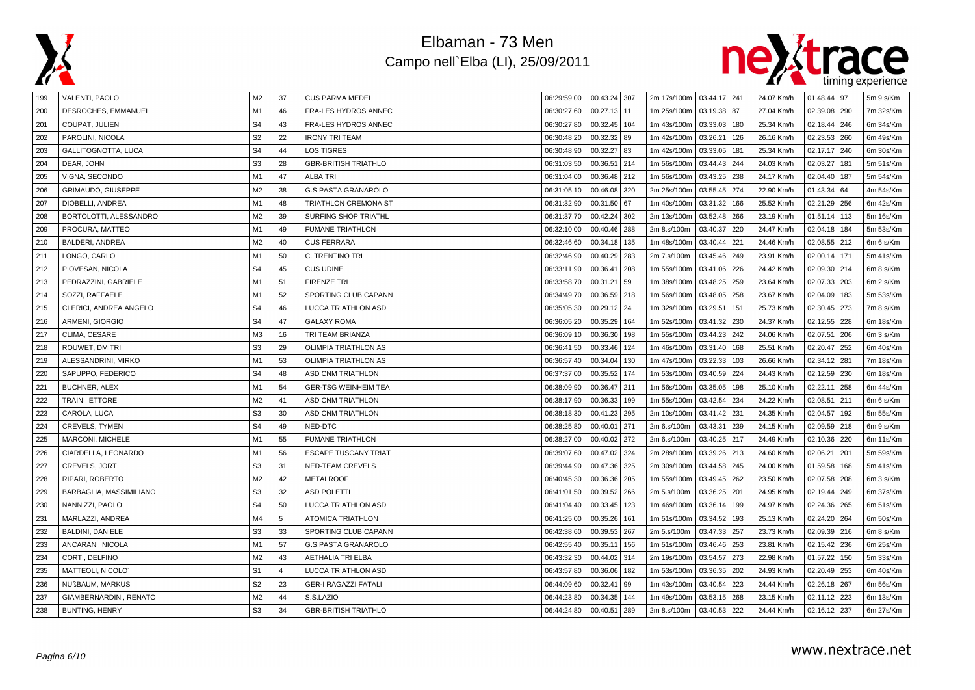



| 199 | VALENTI, PAOLO                | M2             | 37       | <b>CUS PARMA MEDEL</b>      | 06:29:59.00 | 00.43.24 307     | 2m 17s/100m   03.44.17   241 |              |     | 24.07 Km/h | $01.48.44$ 97 |       | 5m 9 s/Km |
|-----|-------------------------------|----------------|----------|-----------------------------|-------------|------------------|------------------------------|--------------|-----|------------|---------------|-------|-----------|
| 200 | DESROCHES, EMMANUEL           | M1             | 46       | FRA-LES HYDROS ANNEC        | 06:30:27.60 | 00.27.13<br>  11 | 1m 25s/100m                  | 03.19.38 87  |     | 27.04 Km/h | 02.39.08      | 290   | 7m 32s/Km |
| 201 | COUPAT, JULIEN                | S <sub>4</sub> | 43       | FRA-LES HYDROS ANNEC        | 06:30:27.80 | 00.32.45<br>104  | 1m 43s/100m                  | 03.33.03 180 |     | 25.34 Km/h | 02.18.44      | 246   | 6m 34s/Km |
| 202 | PAROLINI, NICOLA              | S <sub>2</sub> | 22       | <b>IRONY TRI TEAM</b>       | 06:30:48.20 | 00.32.32<br>89   | 1m 42s/100m                  | 03.26.21     | 126 | 26.16 Km/h | 02.23.53      | 260   | 6m 49s/Km |
| 203 | GALLITOGNOTTA, LUCA           | S <sub>4</sub> | 44       | <b>LOS TIGRES</b>           | 06:30:48.90 | 00.32.27<br>83   | 1m 42s/100m                  | 03.33.05     | 181 | 25.34 Km/h | 02.17.17      | 240   | 6m 30s/Km |
| 204 | DEAR, JOHN                    | S <sub>3</sub> | 28       | <b>GBR-BRITISH TRIATHLO</b> | 06:31:03.50 | 00.36.51<br>214  | 1m 56s/100m                  | 03.44.43 244 |     | 24.03 Km/h | 02.03.27      | 181   | 5m 51s/Km |
| 205 | VIGNA, SECONDO                | M1             | 47       | <b>ALBA TRI</b>             | 06:31:04.00 | 00.36.48<br>212  | 1m 56s/100m                  | 03.43.25 238 |     | 24.17 Km/h | 02.04.40      | 187   | 5m 54s/Km |
| 206 | GRIMAUDO, GIUSEPPE            | M <sub>2</sub> | 38       | <b>G.S.PASTA GRANAROLO</b>  | 06:31:05.10 | 00.46.08<br>320  | 2m 25s/100m                  | 03.55.45 274 |     | 22.90 Km/h | 01.43.34      | 64    | 4m 54s/Km |
| 207 | DIOBELLI, ANDREA              | M1             | 48       | TRIATHLON CREMONA ST        | 06:31:32.90 | 00.31.50<br>67   | 1m 40s/100m                  | 03.31.32     | 166 | 25.52 Km/h | 02.21.29      | 256   | 6m 42s/Km |
| 208 | BORTOLOTTI, ALESSANDRO        | M <sub>2</sub> | 39       | SURFING SHOP TRIATHL        | 06:31:37.70 | 00.42.24<br>302  | 2m 13s/100m                  | 03.52.48 266 |     | 23.19 Km/h | 01.51.14      | 113   | 5m 16s/Km |
| 209 | PROCURA, MATTEO               | M1             | 49       | <b>FUMANE TRIATHLON</b>     | 06:32:10.00 | 00.40.46<br>288  | 2m 8.s/100m                  | 03.40.37     | 220 | 24.47 Km/h | 02.04.18      | 184   | 5m 53s/Km |
| 210 | <b>BALDERI, ANDREA</b>        | M <sub>2</sub> | 40       | <b>CUS FERRARA</b>          | 06:32:46.60 | 00.34.18<br>135  | 1m 48s/100m                  | 03.40.44     | 221 | 24.46 Km/h | 02.08.55      | 212   | 6m 6 s/Km |
| 211 | LONGO, CARLO                  | M1             | 50       | C. TRENTINO TRI             | 06:32:46.90 | 00.40.29<br>283  | 2m 7.s/100m                  | 03.45.46 249 |     | 23.91 Km/h | 02.00.14      | 171   | 5m 41s/Km |
| 212 | PIOVESAN, NICOLA              | S <sub>4</sub> | 45       | <b>CUS UDINE</b>            | 06:33:11.90 | 00.36.41<br>208  | 1m 55s/100m                  | 03.41.06 226 |     | 24.42 Km/h | 02.09.30 214  |       | 6m 8 s/Km |
| 213 | PEDRAZZINI, GABRIELE          | M1             | 51       | <b>FIRENZE TRI</b>          | 06:33:58.70 | 00.31.21<br>59   | 1m 38s/100m                  | 03.48.25 259 |     | 23.64 Km/h | 02.07.33      | 203   | 6m 2 s/Km |
| 214 | SOZZI, RAFFAELE               | M1             | 52       | SPORTING CLUB CAPANN        | 06:34:49.70 | 00.36.59<br>218  | 1m 56s/100m                  | 03.48.05 258 |     | 23.67 Km/h | 02.04.09      | 183   | 5m 53s/Km |
| 215 | CLERICI, ANDREA ANGELO        | S <sub>4</sub> | 46       | LUCCA TRIATHLON ASD         | 06:35:05.30 | 00.29.12<br>24   | 1m 32s/100m                  | 03.29.51 151 |     | 25.73 Km/h | 02.30.45      | 273   | 7m 8 s/Km |
| 216 | ARMENI, GIORGIO               | S <sub>4</sub> | 47       | <b>GALAXY ROMA</b>          | 06:36:05.20 | 00.35.29<br>164  | 1m 52s/100m                  | 03.41.32 230 |     | 24.37 Km/h | 02.12.55 228  |       | 6m 18s/Km |
| 217 | CLIMA, CESARE                 | M3             | 16       | TRI TEAM BRIANZA            | 06:36:09.10 | 00.36.30<br>198  | 1m 55s/100m                  | 03.44.23 242 |     | 24.06 Km/h | 02.07.51      | 206   | 6m 3 s/Km |
| 218 | ROUWET, DMITRI                | S <sub>3</sub> | 29       | OLIMPIA TRIATHLON AS        | 06:36:41.50 | 00.33.46<br>124  | 1m 46s/100m                  | 03.31.40     | 168 | 25.51 Km/h | 02.20.47      | 252   | 6m 40s/Km |
| 219 | ALESSANDRINI, MIRKO           | M1             | 53       | OLIMPIA TRIATHLON AS        | 06:36:57.40 | 00.34.04<br>130  | 1m 47s/100m                  | 03.22.33     | 103 | 26.66 Km/h | 02.34.12      | 281   | 7m 18s/Km |
| 220 | SAPUPPO, FEDERICO             | S <sub>4</sub> | 48       | <b>ASD CNM TRIATHLON</b>    | 06:37:37.00 | 00.35.52<br>174  | 1m 53s/100m                  | 03.40.59 224 |     | 24.43 Km/h | 02.12.59      | 230   | 6m 18s/Km |
| 221 | BÜCHNER, ALEX                 | M1             | 54       | <b>GER-TSG WEINHEIM TEA</b> | 06:38:09.90 | 00.36.47<br>211  | 1m 56s/100m                  | 03.35.05 198 |     | 25.10 Km/h | 02.22.11      | 258   | 6m 44s/Km |
| 222 | TRAINI, ETTORE                | M <sub>2</sub> | 41       | <b>ASD CNM TRIATHLON</b>    | 06:38:17.90 | 00.36.33<br>199  | 1m 55s/100m                  | 03.42.54 234 |     | 24.22 Km/h | 02.08.51      | 211   | 6m 6 s/Km |
| 223 | CAROLA, LUCA                  | S <sub>3</sub> | 30       | <b>ASD CNM TRIATHLON</b>    | 06:38:18.30 | 00.41.23<br>295  | 2m 10s/100m                  | 03.41.42 231 |     | 24.35 Km/h | 02.04.57      | 192   | 5m 55s/Km |
| 224 | CREVELS, TYMEN                | S <sub>4</sub> | 49       | NED-DTC                     | 06:38:25.80 | 00.40.01<br>271  | 2m 6.s/100m                  | 03.43.31 239 |     | 24.15 Km/h | 02.09.59      | 218   | 6m 9 s/Km |
| 225 | MARCONI, MICHELE              | M1             | 55       | <b>FUMANE TRIATHLON</b>     | 06:38:27.00 | 00.40.02<br>272  | 2m 6.s/100m                  | 03.40.25 217 |     | 24.49 Km/h | 02.10.36      | 220   | 6m 11s/Km |
| 226 | CIARDELLA, LEONARDO           | M1             | 56       | <b>ESCAPE TUSCANY TRIAT</b> | 06:39:07.60 | 00.47.02<br>324  | 2m 28s/100m                  | 03.39.26 213 |     | 24.60 Km/h | 02.06.21      | 201   | 5m 59s/Km |
| 227 | CREVELS, JORT                 | S <sub>3</sub> | 31       | NED-TEAM CREVELS            | 06:39:44.90 | 00.47.36<br>325  | 2m 30s/100m                  | 03.44.58     | 245 | 24.00 Km/h | 01.59.58      | 168   | 5m 41s/Km |
| 228 | RIPARI, ROBERTO               | M <sub>2</sub> | 42       | <b>METALROOF</b>            | 06:40:45.30 | 00.36.36<br>205  | 1m 55s/100m                  | 03.49.45 262 |     | 23.50 Km/h | 02.07.58      | 208   | 6m 3 s/Km |
| 229 | BARBAGLIA, MASSIMILIANO       | S <sub>3</sub> | 32       | <b>ASD POLETTI</b>          | 06:41:01.50 | 00.39.52<br>266  | 2m 5.s/100m                  | 03.36.25 201 |     | 24.95 Km/h | 02.19.44      | l 249 | 6m 37s/Km |
| 230 | NANNIZZI, PAOLO               | S <sub>4</sub> | 50       | LUCCA TRIATHLON ASD         | 06:41:04.40 | 00.33.45<br>123  | 1m 46s/100m                  | 03.36.14 199 |     | 24.97 Km/h | 02.24.36      | 265   | 6m 51s/Km |
| 231 | MARLAZZI, ANDREA              | M4             | 5        | <b>ATOMICA TRIATHLON</b>    | 06:41:25.00 | 00.35.26<br>161  | 1m 51s/100m                  | 03.34.52 193 |     | 25.13 Km/h | 02.24.20      | 264   | 6m 50s/Km |
| 232 | BALDINI, DANIELE              | S <sub>3</sub> | 33       | SPORTING CLUB CAPANN        | 06:42:38.60 | 00.39.53<br>267  | 2m 5.s/100m                  | 03.47.33 257 |     | 23.73 Km/h | 02.09.39      | 216   | 6m 8 s/Km |
| 233 | ANCARANI, NICOLA              | M1             | 57       | <b>G.S.PASTA GRANAROLO</b>  | 06:42:55.40 | 00.35.11<br>156  | 1m 51s/100m                  | 03.46.46 253 |     | 23.81 Km/h | 02.15.42      | 236   | 6m 25s/Km |
| 234 | CORTI, DELFINO                | M <sub>2</sub> | 43       | <b>AETHALIA TRI ELBA</b>    | 06:43:32.30 | 00.44.02<br>314  | 2m 19s/100m                  | 03.54.57 273 |     | 22.98 Km/h | 01.57.22      | 150   | 5m 33s/Km |
| 235 | MATTEOLI, NICOLO <sup>®</sup> | S <sub>1</sub> | $\Delta$ | LUCCA TRIATHLON ASD         | 06:43:57.80 | 00.36.06<br>182  | 1m 53s/100m                  | 03.36.35 202 |     | 24.93 Km/h | 02.20.49      | 253   | 6m 40s/Km |
| 236 | NUßBAUM, MARKUS               | S <sub>2</sub> | 23       | <b>GER-I RAGAZZI FATALI</b> | 06:44:09.60 | 00.32.41<br>99   | 1m 43s/100m                  | 03.40.54     | 223 | 24.44 Km/h | 02.26.18      | 267   | 6m 56s/Km |
| 237 | GIAMBERNARDINI, RENATO        | M2             | 44       | S.S.LAZIO                   | 06:44:23.80 | 00.34.35<br>144  | 1m 49s/100m                  | 03.53.15 268 |     | 23.15 Km/h | 02.11.12      | 223   | 6m 13s/Km |
| 238 | <b>BUNTING, HENRY</b>         | S <sub>3</sub> | 34       | <b>GBR-BRITISH TRIATHLO</b> | 06:44:24.80 | 00.40.51<br>289  | 2m 8.s/100m                  | 03.40.53 222 |     | 24.44 Km/h | 02.16.12 237  |       | 6m 27s/Km |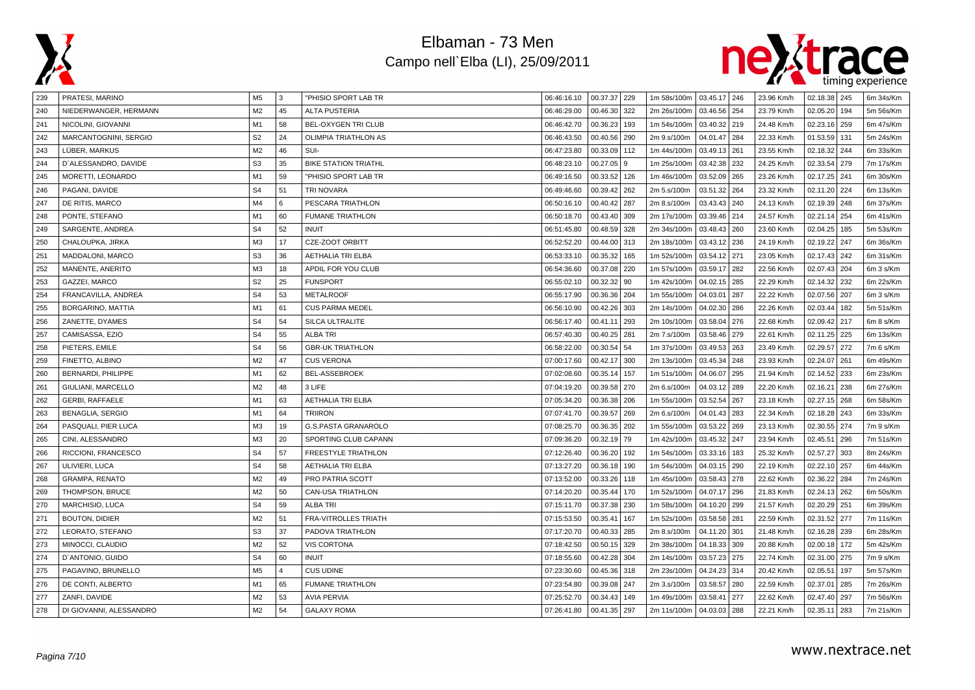



| 239 | PRATESI, MARINO         | M5             | 3        | "PHISIO SPORT LAB TR        | 06:46:16.10 | 00.37.37 229             | 1m 58s/100m   03.45.17   246 |              |     | 23.96 Km/h | 02.18.38 245      | 6m 34s/Km |
|-----|-------------------------|----------------|----------|-----------------------------|-------------|--------------------------|------------------------------|--------------|-----|------------|-------------------|-----------|
| 240 | NIEDERWANGER, HERMANN   | M <sub>2</sub> | 45       | <b>ALTA PUSTERIA</b>        | 06:46:29.00 | 00.46.30<br>322          | 2m 26s/100m                  | 03.46.56 254 |     | 23.79 Km/h | 02.05.20<br>194   | 5m 56s/Km |
| 241 | NICOLINI, GIOVANNI      | M1             | 58       | <b>BEL-OXYGEN TRI CLUB</b>  | 06:46:42.70 | 00.36.23<br>193          | 1m 54s/100m                  | 03.40.32 219 |     | 24.48 Km/h | 02.23.16<br>259   | 6m 47s/Km |
| 242 | MARCANTOGNINI, SERGIO   | S <sub>2</sub> | 24       | <b>OLIMPIA TRIATHLON AS</b> | 06:46:43.50 | 00.40.56<br>290          | 2m 9.s/100m                  | 04.01.47     | 284 | 22.33 Km/h | 01.53.59<br>131   | 5m 24s/Km |
| 243 | LÜBER, MARKUS           | M <sub>2</sub> | 46       | SUI-                        | 06:47:23.80 | 00.33.09<br>112          | 1m 44s/100m                  | 03.49.13 261 |     | 23.55 Km/h | 02.18.32<br>244   | 6m 33s/Km |
| 244 | D'ALESSANDRO, DAVIDE    | S <sub>3</sub> | 35       | <b>BIKE STATION TRIATHL</b> | 06:48:23.10 | 00.27.05<br>$\mathbf{Q}$ | 1m 25s/100m                  | 03.42.38 232 |     | 24.25 Km/h | 02.33.54<br>279   | 7m 17s/Km |
| 245 | MORETTI, LEONARDO       | M1             | 59       | "PHISIO SPORT LAB TR        | 06:49:16.50 | 00.33.52<br>126          | 1m 46s/100m                  | 03.52.09 265 |     | 23.26 Km/h | 02.17.25<br>241   | 6m 30s/Km |
| 246 | PAGANI, DAVIDE          | S <sub>4</sub> | 51       | <b>TRI NOVARA</b>           | 06:49:46.60 | 00.39.42<br>262          | 2m 5.s/100m                  | 03.51.32 264 |     | 23.32 Km/h | 02.11.20<br>224   | 6m 13s/Km |
| 247 | DE RITIS, MARCO         | M4             | 6        | PESCARA TRIATHLON           | 06:50:16.10 | 00.40.42<br>287          | 2m 8.s/100m                  | 03.43.43 240 |     | 24.13 Km/h | 02.19.39<br>248   | 6m 37s/Km |
| 248 | PONTE, STEFANO          | M1             | 60       | <b>FUMANE TRIATHLON</b>     | 06:50:18.70 | 00.43.40<br>309          | 2m 17s/100m                  | 03.39.46 214 |     | 24.57 Km/h | 02.21.14<br>254   | 6m 41s/Km |
| 249 | SARGENTE, ANDREA        | S <sub>4</sub> | 52       | <b>INUIT</b>                | 06:51:45.80 | 00.48.59<br>328          | 2m 34s/100m                  | 03.48.43 260 |     | 23.60 Km/h | 02.04.25<br>185   | 5m 53s/Km |
| 250 | CHALOUPKA, JIRKA        | M <sub>3</sub> | 17       | CZE-ZOOT ORBITT             | 06:52:52.20 | 00.44.00<br>313          | 2m 18s/100m                  | 03.43.12 236 |     | 24.19 Km/h | 02.19.22<br>247   | 6m 36s/Km |
| 251 | MADDALONI, MARCO        | S <sub>3</sub> | 36       | <b>AETHALIA TRI ELBA</b>    | 06:53:33.10 | 00.35.32<br>165          | 1m 52s/100m                  | 03.54.12 271 |     | 23.05 Km/h | 02.17.43<br>242   | 6m 31s/Km |
| 252 | MANENTE, ANERITO        | M <sub>3</sub> | 18       | APDIL FOR YOU CLUB          | 06:54:36.60 | 00.37.08<br>220          | 1m 57s/100m                  | 03.59.17 282 |     | 22.56 Km/h | 02.07.43 204      | 6m 3 s/Km |
| 253 | GAZZEI, MARCO           | S <sub>2</sub> | 25       | <b>FUNSPORT</b>             | 06:55:02.10 | 00.32.32<br>90           | 1m 42s/100m                  | 04.02.15 285 |     | 22.29 Km/h | 02.14.32<br>232   | 6m 22s/Km |
| 254 | FRANCAVILLA, ANDREA     | S <sub>4</sub> | 53       | <b>METALROOF</b>            | 06:55:17.90 | 00.36.36<br>204          | 1m 55s/100m                  | 04.03.01     | 287 | 22.22 Km/h | 02.07.56<br>207   | 6m 3 s/Km |
| 255 | BORGARINO, MATTIA       | M1             | 61       | <b>CUS PARMA MEDEL</b>      | 06:56:10.90 | 00.42.26<br>303          | 2m 14s/100m                  | 04.02.30 286 |     | 22.26 Km/h | 02.03.44<br>182   | 5m 51s/Km |
| 256 | ZANETTE, DYAMES         | S <sub>4</sub> | 54       | SILCA ULTRALITE             | 06:56:17.40 | 00.41.11<br>293          | 2m 10s/100m                  | 03.58.04 276 |     | 22.68 Km/h | 02.09.42<br>217   | 6m 8 s/Km |
| 257 | CAMISASSA, EZIO         | S <sub>4</sub> | 55       | <b>ALBA TRI</b>             | 06:57:40.30 | 00.40.25<br>281          | 2m 7.s/100m                  | 03.58.46 279 |     | 22.61 Km/h | 02.11.25<br>225   | 6m 13s/Km |
| 258 | PIETERS, EMILE          | S <sub>4</sub> | 56       | <b>GBR-UK TRIATHLON</b>     | 06:58:22.00 | 00.30.54<br>54           | 1m 37s/100m                  | 03.49.53 263 |     | 23.49 Km/h | 02.29.57<br>272   | 7m 6 s/Km |
| 259 | FINETTO, ALBINO         | M <sub>2</sub> | 47       | <b>CUS VERONA</b>           | 07:00:17.60 | 00.42.17<br>300          | 2m 13s/100m                  | 03.45.34     | 248 | 23.93 Km/h | 02.24.07<br>261   | 6m 49s/Km |
| 260 | BERNARDI, PHILIPPE      | M1             | 62       | <b>BEL-ASSEBROEK</b>        | 07:02:08.60 | 00.35.14<br>157          | 1m 51s/100m                  | 04.06.07     | 295 | 21.94 Km/h | 02.14.52<br>233   | 6m 23s/Km |
| 261 | GIULIANI, MARCELLO      | M <sub>2</sub> | 48       | 3 LIFE                      | 07:04:19.20 | 00.39.58<br>270          | 2m 6.s/100m                  | 04.03.12 289 |     | 22.20 Km/h | 02.16.21<br>238   | 6m 27s/Km |
| 262 | <b>GERBI, RAFFAELE</b>  | M1             | 63       | AETHALIA TRI ELBA           | 07:05:34.20 | 00.36.38<br>206          | 1m 55s/100m                  | 03.52.54 267 |     | 23.18 Km/h | 02.27.15<br>268   | 6m 58s/Km |
| 263 | <b>BENAGLIA, SERGIO</b> | M <sub>1</sub> | 64       | <b>TRIIRON</b>              | 07:07:41.70 | 00.39.57<br>269          | 2m 6.s/100m                  | 04.01.43 283 |     | 22.34 Km/h | 02.18.28<br>243   | 6m 33s/Km |
| 264 | PASQUALI, PIER LUCA     | M <sub>3</sub> | 19       | G.S.PASTA GRANAROLO         | 07:08:25.70 | 00.36.35<br>202          | 1m 55s/100m                  | 03.53.22 269 |     | 23.13 Km/h | 02.30.55<br>274   | 7m 9 s/Km |
| 265 | CINI, ALESSANDRO        | M3             | 20       | SPORTING CLUB CAPANN        | 07:09:36.20 | 00.32.19<br>79           | 1m 42s/100m                  | 03.45.32 247 |     | 23.94 Km/h | 02.45.51<br>296   | 7m 51s/Km |
| 266 | RICCIONI, FRANCESCO     | S <sub>4</sub> | 57       | <b>FREESTYLE TRIATHLON</b>  | 07:12:26.40 | 00.36.20<br>192          | 1m 54s/100m                  | 03.33.16 183 |     | 25.32 Km/h | 02.57.27<br>303   | 8m 24s/Km |
| 267 | ULIVIERI, LUCA          | S <sub>4</sub> | 58       | <b>AETHALIA TRI ELBA</b>    | 07:13:27.20 | 00.36.18<br>190          | 1m 54s/100m                  | 04.03.15 290 |     | 22.19 Km/h | 02.22.10<br>257   | 6m 44s/Km |
| 268 | <b>GRAMPA, RENATO</b>   | M <sub>2</sub> | 49       | PRO PATRIA SCOTT            | 07:13:52.00 | 00.33.26<br>118          | 1m 45s/100m                  | 03.58.43 278 |     | 22.62 Km/h | 02.36.22<br>284   | 7m 24s/Km |
| 269 | THOMPSON, BRUCE         | M <sub>2</sub> | 50       | CAN-USA TRIATHLON           | 07:14:20.20 | 00.35.44<br>170          | 1m 52s/100m                  | 04.07.17 296 |     | 21.83 Km/h | 02.24.13<br>  262 | 6m 50s/Km |
| 270 | MARCHISIO, LUCA         | S <sub>4</sub> | 59       | <b>ALBA TRI</b>             | 07:15:11.70 | 00.37.38<br>230          | 1m 58s/100m                  | 04.10.20 299 |     | 21.57 Km/h | 02.20.29<br>251   | 6m 39s/Km |
| 271 | <b>BOUTON, DIDIER</b>   | M2             | 51       | FRA-VITROLLES TRIATH        | 07:15:53.50 | 00.35.41<br>167          | 1m 52s/100m                  | 03.58.58 281 |     | 22.59 Km/h | 02.31.52<br>277   | 7m 11s/Km |
| 272 | LEORATO, STEFANO        | S <sub>3</sub> | 37       | PADOVA TRIATHLON            | 07:17:20.70 | 00.40.33<br>285          | 2m 8.s/100m                  | 04.11.20 301 |     | 21.48 Km/h | 02.16.28<br>239   | 6m 28s/Km |
| 273 | MINOCCI, CLAUDIO        | M <sub>2</sub> | 52       | VIS CORTONA                 | 07:18:42.50 | 00.50.15<br>329          | 2m 38s/100m                  | 04.18.33 309 |     | 20.88 Km/h | 02.00.18<br>172   | 5m 42s/Km |
| 274 | D'ANTONIO, GUIDO        | S <sub>4</sub> | 60       | <b>INUIT</b>                | 07:18:55.60 | 00.42.28<br>304          | 2m 14s/100m                  | 03.57.23 275 |     | 22.74 Km/h | 02.31.00<br>275   | 7m 9 s/Km |
| 275 | PAGAVINO, BRUNELLO      | M <sub>5</sub> | $\Delta$ | <b>CUS UDINE</b>            | 07:23:30.60 | 00.45.36<br>318          | 2m 23s/100m                  | 04.24.23 314 |     | 20.42 Km/h | 02.05.51<br>197   | 5m 57s/Km |
| 276 | DE CONTI, ALBERTO       | M1             | 65       | <b>FUMANE TRIATHLON</b>     | 07:23:54.80 | 00.39.08<br>247          | 2m 3.s/100m                  | 03.58.57     | 280 | 22.59 Km/h | 02.37.01<br>285   | 7m 26s/Km |
| 277 | ZANFI, DAVIDE           | M <sub>2</sub> | 53       | <b>AVIA PERVIA</b>          | 07:25:52.70 | 00.34.43<br>149          | 1m 49s/100m                  | 03.58.41     | 277 | 22.62 Km/h | 02.47.40<br>297   | 7m 56s/Km |
| 278 | DI GIOVANNI, ALESSANDRO | M <sub>2</sub> | 54       | <b>GALAXY ROMA</b>          | 07:26:41.80 | 00.41.35 297             | 2m 11s/100m                  | 04.03.03 288 |     | 22.21 Km/h | 02.35.11<br>283   | 7m 21s/Km |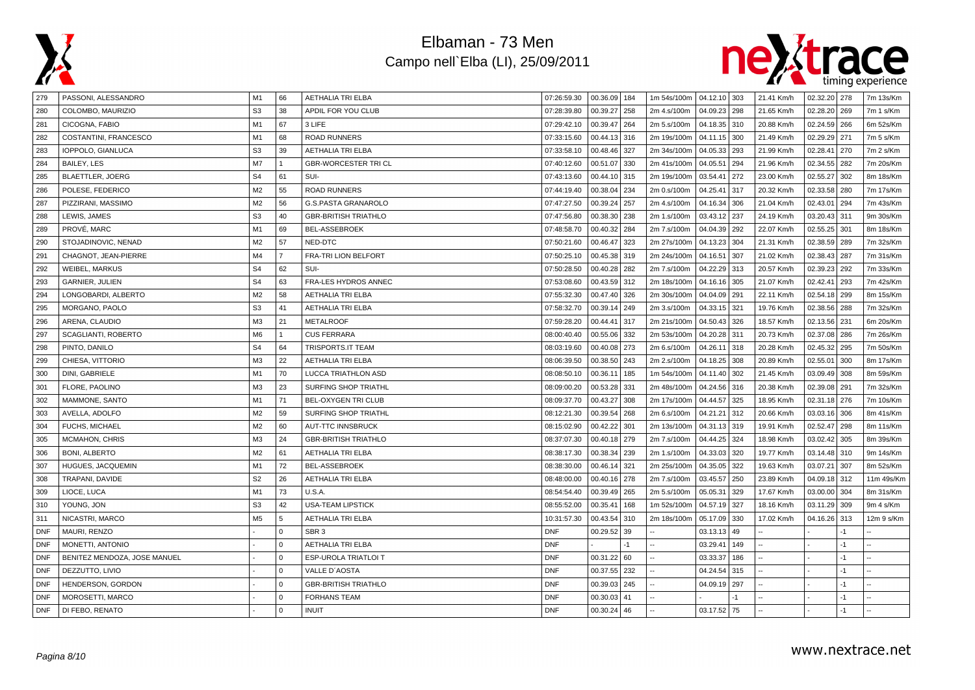



| 279        | PASSONI, ALESSANDRO          | M1             | 66             | AETHALIA TRI ELBA           | 07:26:59.30 | 00.36.09 184  |      | 1m 54s/100m   04.12.10   303 |              |     | 21.41 Km/h | 02.32.20 278 |      | 7m 13s/Km  |
|------------|------------------------------|----------------|----------------|-----------------------------|-------------|---------------|------|------------------------------|--------------|-----|------------|--------------|------|------------|
| 280        | COLOMBO, MAURIZIO            | S <sub>3</sub> | 38             | APDIL FOR YOU CLUB          | 07:28:39.80 | 00.39.27      | 258  | 2m 4.s/100m                  | 04.09.23     | 298 | 21.65 Km/h | 02.28.20     | 269  | 7m 1 s/Km  |
| 281        | CICOGNA, FABIO               | M <sub>1</sub> | 67             | 3 LIFE                      | 07:29:42.10 | 00.39.47 264  |      | 2m 5.s/100m                  | 04.18.35 310 |     | 20.88 Km/h | 02.24.59     | 266  | 6m 52s/Km  |
| 282        | COSTANTINI, FRANCESCO        | M <sub>1</sub> | 68             | <b>ROAD RUNNERS</b>         | 07:33:15.60 | 00.44.13 316  |      | 2m 19s/100m                  | 04.11.15 300 |     | 21.49 Km/h | 02.29.29     | 271  | 7m 5 s/Km  |
| 283        | IOPPOLO, GIANLUCA            | S <sub>3</sub> | 39             | AETHALIA TRI ELBA           | 07:33:58.10 | 00.48.46      | 327  | 2m 34s/100m                  | 04.05.33     | 293 | 21.99 Km/h | 02.28.41     | 270  | 7m 2 s/Km  |
| 284        | BAILEY, LES                  | M <sub>7</sub> | $\mathbf{1}$   | <b>GBR-WORCESTER TRICL</b>  | 07:40:12.60 | 00.51.07      | 330  | 2m 41s/100m                  | 04.05.51     | 294 | 21.96 Km/h | 02.34.55     | 282  | 7m 20s/Km  |
| 285        | <b>BLAETTLER, JOERG</b>      | S <sub>4</sub> | 61             | SUI-                        | 07:43:13.60 | 00.44.10      | 315  | 2m 19s/100m                  | 03.54.41     | 272 | 23.00 Km/h | 02.55.27     | 302  | 8m 18s/Km  |
| 286        | POLESE, FEDERICO             | M <sub>2</sub> | 55             | <b>ROAD RUNNERS</b>         | 07:44:19.40 | 00.38.04      | 234  | 2m 0.s/100m                  | 04.25.41     | 317 | 20.32 Km/h | 02.33.58     | 280  | 7m 17s/Km  |
| 287        | PIZZIRANI, MASSIMO           | M <sub>2</sub> | 56             | <b>G.S.PASTA GRANAROLO</b>  | 07:47:27.50 | 00.39.24      | 257  | 2m 4.s/100m                  | 04.16.34     | 306 | 21.04 Km/h | 02.43.01     | 294  | 7m 43s/Km  |
| 288        | LEWIS, JAMES                 | S <sub>3</sub> | 40             | <b>GBR-BRITISH TRIATHLO</b> | 07:47:56.80 | 00.38.30      | 238  | 2m 1.s/100m                  | 03.43.12     | 237 | 24.19 Km/h | 03.20.43     | 311  | 9m 30s/Km  |
| 289        | PROVÉ. MARC                  | M1             | 69             | <b>BEL-ASSEBROEK</b>        | 07:48:58.70 | 00.40.32      | 284  | 2m 7.s/100m                  | 04.04.39     | 292 | 22.07 Km/h | 02.55.25     | 301  | 8m 18s/Km  |
| 290        | STOJADINOVIC, NENAD          | M <sub>2</sub> | 57             | NED-DTC                     | 07:50:21.60 | 00.46.47      | 323  | 2m 27s/100m                  | 04.13.23     | 304 | 21.31 Km/h | 02.38.59     | 289  | 7m 32s/Km  |
| 291        | CHAGNOT, JEAN-PIERRE         | M4             | $\overline{7}$ | <b>FRA-TRI LION BELFORT</b> | 07:50:25.10 | 00.45.38 319  |      | 2m 24s/100m                  | 04.16.51     | 307 | 21.02 Km/h | 02.38.43     | 287  | 7m 31s/Km  |
| 292        | WEIBEL, MARKUS               | S <sub>4</sub> | 62             | SUI-                        | 07:50:28.50 | 00.40.28      | 282  | 2m 7.s/100m                  | 04.22.29     | 313 | 20.57 Km/h | 02.39.23     | 292  | 7m 33s/Km  |
| 293        | GARNIER, JULIEN              | S <sub>4</sub> | 63             | FRA-LES HYDROS ANNEC        | 07:53:08.60 | 00.43.59 312  |      | 2m 18s/100m                  | 04.16.16     | 305 | 21.07 Km/h | 02.42.41     | 293  | 7m 42s/Km  |
| 294        | LONGOBARDI, ALBERTO          | M <sub>2</sub> | 58             | <b>AETHALIA TRI ELBA</b>    | 07:55:32.30 | 00.47.40      | 326  | 2m 30s/100m                  | 04.04.09     | 291 | 22.11 Km/h | 02.54.18     | 299  | 8m 15s/Km  |
| 295        | MORGANO, PAOLO               | S <sub>3</sub> | 41             | <b>AETHALIA TRI ELBA</b>    | 07:58:32.70 | 00.39.14 249  |      | 2m 3.s/100m                  | 04.33.15 321 |     | 19.76 Km/h | 02.38.56 288 |      | 7m 32s/Km  |
| 296        | ARENA, CLAUDIO               | M <sub>3</sub> | 21             | <b>METALROOF</b>            | 07:59:28.20 | 00.44.41      | 317  | 2m 21s/100m                  | 04.50.43     | 326 | 18.57 Km/h | 02.13.56     | 231  | 6m 20s/Km  |
| 297        | SCAGLIANTI, ROBERTO          | M6             | $\mathbf{1}$   | <b>CUS FERRARA</b>          | 08:00:40.40 | 00.55.06      | 332  | 2m 53s/100m                  | 04.20.28     | 311 | 20.73 Km/h | 02.37.08     | 286  | 7m 26s/Km  |
| 298        | PINTO, DANILO                | S <sub>4</sub> | 64             | TRISPORTS.IT TEAM           | 08:03:19.60 | 00.40.08      | 273  | 2m 6.s/100m                  | 04.26.11     | 318 | 20.28 Km/h | 02.45.32     | 295  | 7m 50s/Km  |
| 299        | CHIESA, VITTORIO             | M3             | 22             | <b>AETHALIA TRI ELBA</b>    | 08:06:39.50 | 00.38.50      | 243  | 2m 2.s/100m                  | 04.18.25     | 308 | 20.89 Km/h | 02.55.01     | 300  | 8m 17s/Km  |
| 300        | DINI, GABRIELE               | M1             | 70             | LUCCA TRIATHLON ASD         | 08:08:50.10 | 00.36.11      | 185  | 1m 54s/100m                  | 04.11.40     | 302 | 21.45 Km/h | 03.09.49     | 308  | 8m 59s/Km  |
| 301        | FLORE, PAOLINO               | M <sub>3</sub> | 23             | SURFING SHOP TRIATHL        | 08:09:00.20 | 00.53.28      | 331  | 2m 48s/100m                  | 04.24.56     | 316 | 20.38 Km/h | 02.39.08     | 291  | 7m 32s/Km  |
| 302        | MAMMONE, SANTO               | M1             | 71             | <b>BEL-OXYGEN TRI CLUB</b>  | 08:09:37.70 | 00.43.27      | 308  | 2m 17s/100m                  | 04.44.57     | 325 | 18.95 Km/h | 02.31.18 276 |      | 7m 10s/Km  |
| 303        | AVELLA, ADOLFO               | M <sub>2</sub> | 59             | SURFING SHOP TRIATHL        | 08:12:21.30 | 00.39.54      | 268  | 2m 6.s/100m                  | 04.21.21     | 312 | 20.66 Km/h | 03.03.16     | 306  | 8m 41s/Km  |
| 304        | <b>FUCHS, MICHAEL</b>        | M <sub>2</sub> | 60             | <b>AUT-TTC INNSBRUCK</b>    | 08:15:02.90 | 00.42.22      | 301  | 2m 13s/100m                  | 04.31.13 319 |     | 19.91 Km/h | 02.52.47     | 298  | 8m 11s/Km  |
| 305        | MCMAHON, CHRIS               | M <sub>3</sub> | 24             | <b>GBR-BRITISH TRIATHLO</b> | 08:37:07.30 | 00.40.18 279  |      | 2m 7.s/100m                  | 04.44.25     | 324 | 18.98 Km/h | 03.02.42     | 305  | 8m 39s/Km  |
| 306        | <b>BONI, ALBERTO</b>         | M <sub>2</sub> | 61             | <b>AETHALIA TRI ELBA</b>    | 08:38:17.30 | 00.38.34      | 239  | 2m 1.s/100m                  | 04.33.03     | 320 | 19.77 Km/h | 03.14.48     | 310  | 9m 14s/Km  |
| 307        | HUGUES, JACQUEMIN            | M <sub>1</sub> | 72             | <b>BEL-ASSEBROEK</b>        | 08:38:30.00 | 00.46.14      | 321  | 2m 25s/100m                  | 04.35.05     | 322 | 19.63 Km/h | 03.07.21     | 307  | 8m 52s/Km  |
| 308        | TRAPANI, DAVIDE              | S <sub>2</sub> | 26             | <b>AETHALIA TRI ELBA</b>    | 08:48:00.00 | 00.40.16      | 278  | 2m 7.s/100m                  | 03.45.57     | 250 | 23.89 Km/h | 04.09.18 312 |      | 11m 49s/Km |
| 309        | LIOCE, LUCA                  | M <sub>1</sub> | 73             | U.S.A.                      | 08:54:54.40 | 00.39.49 265  |      | 2m 5.s/100m                  | 05.05.31     | 329 | 17.67 Km/h | 03.00.00     | 304  | 8m 31s/Km  |
| 310        | YOUNG, JON                   | S <sub>3</sub> | 42             | <b>USA-TEAM LIPSTICK</b>    | 08:55:52.00 | 00.35.41      | 168  | 1m 52s/100m                  | 04.57.19     | 327 | 18.16 Km/h | 03.11.29 309 |      | 9m 4 s/Km  |
| 311        | NICASTRI, MARCO              | M <sub>5</sub> | 5              | <b>AETHALIA TRI ELBA</b>    | 10:31:57.30 | 00.43.54      | 310  | 2m 18s/100m                  | 05.17.09     | 330 | 17.02 Km/h | 04.16.26 313 |      | 12m 9 s/Km |
| <b>DNF</b> | MAURI, RENZO                 |                | $\overline{0}$ | SBR <sub>3</sub>            | <b>DNF</b>  | 00.29.52      | 39   |                              | 03.13.13     | 49  |            |              | $-1$ |            |
| <b>DNF</b> | <b>MONETTI, ANTONIO</b>      |                | $\Omega$       | <b>AETHALIA TRI ELBA</b>    | <b>DNF</b>  |               | $-1$ |                              | 03.29.41     | 149 |            |              | $-1$ |            |
| <b>DNF</b> | BENITEZ MENDOZA, JOSE MANUEL |                | $\Omega$       | ESP-UROLA TRIATLOI T        | <b>DNF</b>  | 00.31.22      | 60   |                              | 03.33.37     | 186 |            |              | $-1$ |            |
| <b>DNF</b> | DEZZUTTO, LIVIO              |                | $\Omega$       | <b>VALLE D'AOSTA</b>        | <b>DNF</b>  | 00.37.55      | 232  |                              | 04.24.54     | 315 |            |              | $-1$ |            |
| <b>DNF</b> | HENDERSON, GORDON            |                | $\Omega$       | <b>GBR-BRITISH TRIATHLO</b> | <b>DNF</b>  | 00.39.03      | 245  |                              | 04.09.19     | 297 |            |              | -1   |            |
| <b>DNF</b> | MOROSETTI, MARCO             |                | $\Omega$       | <b>FORHANS TEAM</b>         | <b>DNF</b>  | 00.30.03      | 41   |                              |              |     |            |              | $-1$ |            |
| <b>DNF</b> | DI FEBO, RENATO              |                | l 0            | <b>INUIT</b>                | <b>DNF</b>  | $00.30.24$ 46 |      |                              | 03.17.52 75  |     |            |              | $-1$ |            |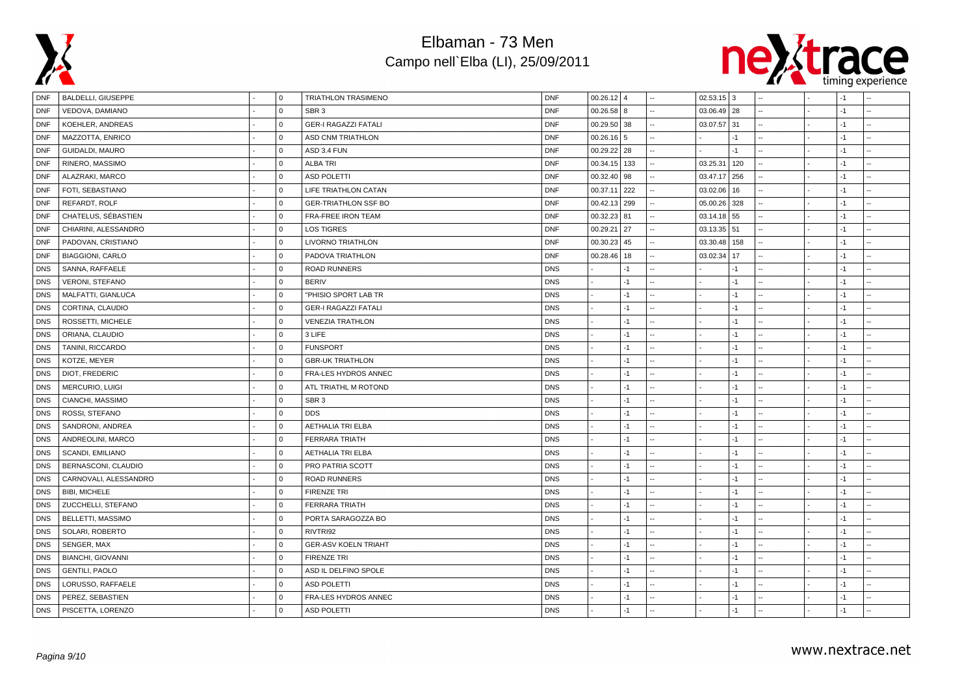



| <b>DNF</b> | <b>BALDELLI, GIUSEPPE</b> | 0           | TRIATHLON TRASIMENO         | <b>DNF</b> | $00.26.12$ 4  |      | 02.53.15 3 |      |  | $-1$ |    |
|------------|---------------------------|-------------|-----------------------------|------------|---------------|------|------------|------|--|------|----|
| <b>DNF</b> | VEDOVA, DAMIANO           | $\mathbf 0$ | SBR <sub>3</sub>            | <b>DNF</b> | 00.26.58 8    |      | 03.06.49   | 28   |  | $-1$ |    |
| <b>DNF</b> | KOEHLER, ANDREAS          | $\Omega$    | <b>GER-I RAGAZZI FATALI</b> | <b>DNF</b> | $00.29.50$ 38 |      | 03.07.57   | 31   |  | $-1$ |    |
| <b>DNF</b> | MAZZOTTA, ENRICO          | $\Omega$    | ASD CNM TRIATHLON           | <b>DNF</b> | 00.26.16      | 5    |            | $-1$ |  | $-1$ | ÷. |
| <b>DNF</b> | GUIDALDI, MAURO           | $\Omega$    | ASD 3.4 FUN                 | <b>DNF</b> | 00.29.22      | 28   |            | -1   |  | -1   |    |
| <b>DNF</b> | RINERO, MASSIMO           | $\mathbf 0$ | <b>ALBA TRI</b>             | <b>DNF</b> | 00.34.15 133  |      | 03.25.31   | 120  |  | $-1$ | ÷. |
| <b>DNF</b> | ALAZRAKI, MARCO           | $\mathbf 0$ | <b>ASD POLETTI</b>          | <b>DNF</b> | $00.32.40$ 98 |      | 03.47.17   | 256  |  | $-1$ |    |
| <b>DNF</b> | FOTI, SEBASTIANO          | $\Omega$    | LIFE TRIATHLON CATAN        | <b>DNF</b> | 00.37.11      | 222  | 03.02.06   | 16   |  | $-1$ | ÷. |
| <b>DNF</b> | REFARDT, ROLF             | 0           | <b>GER-TRIATHLON SSF BO</b> | <b>DNF</b> | 00.42.13 299  |      | 05.00.26   | 328  |  | $-1$ |    |
| <b>DNF</b> | CHATELUS, SÉBASTIEN       | $\mathbf 0$ | FRA-FREE IRON TEAM          | <b>DNF</b> | 00.32.23      | 81   | 03.14.18   | 55   |  | $-1$ | Ξ. |
| <b>DNF</b> | CHIARINI, ALESSANDRO      | $\mathbf 0$ | <b>LOS TIGRES</b>           | <b>DNF</b> | 00.29.21      | 27   | 03.13.35   | 51   |  | $-1$ |    |
| <b>DNF</b> | PADOVAN, CRISTIANO        | $\Omega$    | <b>LIVORNO TRIATHLON</b>    | <b>DNF</b> | 00.30.23      | 45   | 03.30.48   | 158  |  | $-1$ |    |
| <b>DNF</b> | <b>BIAGGIONI, CARLO</b>   | $\mathbf 0$ | PADOVA TRIATHLON            | <b>DNF</b> | 00.28.46      | 18   | 03.02.34   | 17   |  | $-1$ |    |
| <b>DNS</b> | SANNA, RAFFAELE           | $\mathbf 0$ | <b>ROAD RUNNERS</b>         | <b>DNS</b> |               | $-1$ |            | -1   |  | $-1$ | ÷. |
| <b>DNS</b> | <b>VERONI, STEFANO</b>    | $\mathbf 0$ | <b>BERIV</b>                | <b>DNS</b> |               | -1   |            | $-1$ |  | $-1$ |    |
| <b>DNS</b> | MALFATTI, GIANLUCA        | $\Omega$    | "PHISIO SPORT LAB TR        | <b>DNS</b> |               | $-1$ |            | $-1$ |  | $-1$ | L. |
| <b>DNS</b> | CORTINA, CLAUDIO          | $\mathbf 0$ | <b>GER-I RAGAZZI FATALI</b> | <b>DNS</b> |               | $-1$ |            | -1   |  | $-1$ |    |
| <b>DNS</b> | ROSSETTI, MICHELE         | $\mathbf 0$ | <b>VENEZIA TRATHLON</b>     | <b>DNS</b> |               | $-1$ |            | $-1$ |  | $-1$ | Ξ. |
| <b>DNS</b> | ORIANA, CLAUDIO           | $\mathbf 0$ | 3 LIFE                      | <b>DNS</b> |               | $-1$ |            | $-1$ |  | $-1$ |    |
| <b>DNS</b> | TANINI, RICCARDO          | $\Omega$    | <b>FUNSPORT</b>             | <b>DNS</b> |               | $-1$ |            | $-1$ |  | $-1$ |    |
| <b>DNS</b> | KOTZE, MEYER              | $\mathbf 0$ | <b>GBR-UK TRIATHLON</b>     | <b>DNS</b> |               | $-1$ |            | -1   |  | $-1$ |    |
| <b>DNS</b> | DIOT, FREDERIC            | $\mathbf 0$ | FRA-LES HYDROS ANNEC        | <b>DNS</b> |               | $-1$ |            | -1   |  | $-1$ | ÷. |
| <b>DNS</b> | MERCURIO, LUIGI           | $\mathbf 0$ | ATL TRIATHL M ROTOND        | <b>DNS</b> |               | $-1$ |            | $-1$ |  | $-1$ |    |
| <b>DNS</b> | CIANCHI, MASSIMO          | $\Omega$    | SBR <sub>3</sub>            | <b>DNS</b> |               | $-1$ |            | $-1$ |  | $-1$ | Ξ. |
| <b>DNS</b> | ROSSI, STEFANO            | $\mathbf 0$ | <b>DDS</b>                  | <b>DNS</b> |               | $-1$ |            | -1   |  | $-1$ |    |
| <b>DNS</b> | SANDRONI, ANDREA          | $\mathbf 0$ | <b>AETHALIA TRI ELBA</b>    | <b>DNS</b> |               | $-1$ |            | $-1$ |  | $-1$ | Ξ. |
| <b>DNS</b> | ANDREOLINI, MARCO         | $\mathbf 0$ | FERRARA TRIATH              | <b>DNS</b> |               | -1   |            | $-1$ |  | $-1$ |    |
| <b>DNS</b> | SCANDI, EMILIANO          | $\Omega$    | <b>AETHALIA TRI ELBA</b>    | <b>DNS</b> |               | $-1$ |            | $-1$ |  | $-1$ |    |
| <b>DNS</b> | BERNASCONI, CLAUDIO       | $\mathbf 0$ | PRO PATRIA SCOTT            | <b>DNS</b> |               | -1   |            | -1   |  | $-1$ |    |
| <b>DNS</b> | CARNOVALI, ALESSANDRO     | $\mathbf 0$ | <b>ROAD RUNNERS</b>         | <b>DNS</b> |               | $-1$ |            | -1   |  | $-1$ |    |
| <b>DNS</b> | BIBI, MICHELE             | $\mathbf 0$ | <b>FIRENZE TRI</b>          | <b>DNS</b> |               | $-1$ |            | $-1$ |  | $-1$ |    |
| <b>DNS</b> | ZUCCHELLI, STEFANO        | $\Omega$    | <b>FERRARA TRIATH</b>       | <b>DNS</b> |               | $-1$ |            | $-1$ |  | $-1$ | -− |
| <b>DNS</b> | BELLETTI, MASSIMO         | $\mathbf 0$ | PORTA SARAGOZZA BO          | <b>DNS</b> |               | $-1$ |            | -1   |  | $-1$ |    |
| <b>DNS</b> | SOLARI, ROBERTO           | $\mathbf 0$ | RIVTRI92                    | <b>DNS</b> |               | $-1$ |            | -1   |  | $-1$ | u. |
| <b>DNS</b> | SENGER, MAX               | $\mathbf 0$ | <b>GER-ASV KOELN TRIAHT</b> | <b>DNS</b> |               | $-1$ |            | $-1$ |  | $-1$ |    |
| <b>DNS</b> | <b>BIANCHI, GIOVANNI</b>  | $\Omega$    | <b>FIRENZE TRI</b>          | <b>DNS</b> |               | $-1$ |            | $-1$ |  | $-1$ |    |
| <b>DNS</b> | <b>GENTILI, PAOLO</b>     | $\mathbf 0$ | ASD IL DELFINO SPOLE        | <b>DNS</b> |               | -1   |            | -1   |  | $-1$ |    |
| <b>DNS</b> | LORUSSO, RAFFAELE         | $\mathbf 0$ | <b>ASD POLETTI</b>          | <b>DNS</b> |               | $-1$ |            | $-1$ |  | $-1$ |    |
| <b>DNS</b> | PEREZ, SEBASTIEN          | $\mathbf 0$ | FRA-LES HYDROS ANNEC        | <b>DNS</b> |               | -1   |            | $-1$ |  | $-1$ |    |
| <b>DNS</b> | PISCETTA, LORENZO         | $\Omega$    | <b>ASD POLETTI</b>          | <b>DNS</b> |               | $-1$ |            | $-1$ |  | $-1$ | -− |